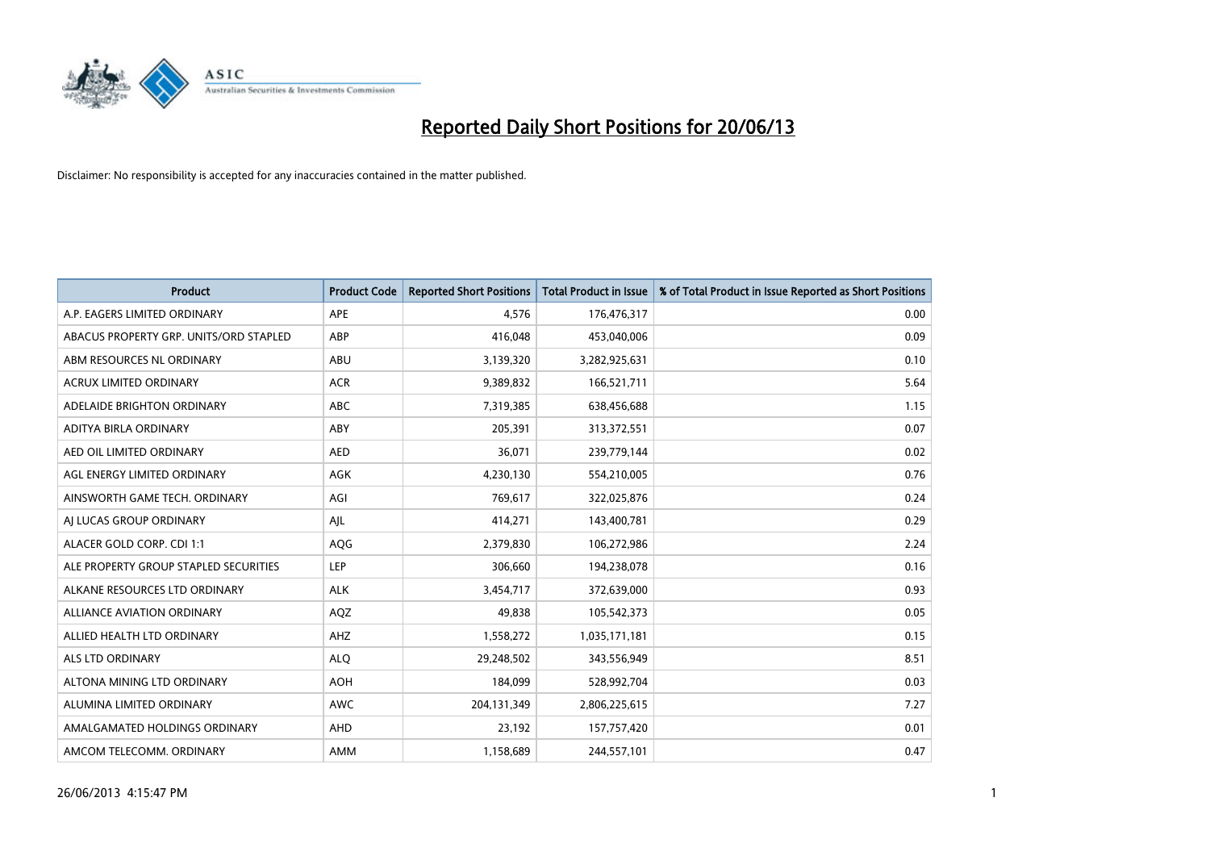

| <b>Product</b>                         | <b>Product Code</b> | <b>Reported Short Positions</b> | <b>Total Product in Issue</b> | % of Total Product in Issue Reported as Short Positions |
|----------------------------------------|---------------------|---------------------------------|-------------------------------|---------------------------------------------------------|
| A.P. EAGERS LIMITED ORDINARY           | <b>APE</b>          | 4,576                           | 176,476,317                   | 0.00                                                    |
| ABACUS PROPERTY GRP. UNITS/ORD STAPLED | ABP                 | 416,048                         | 453,040,006                   | 0.09                                                    |
| ABM RESOURCES NL ORDINARY              | ABU                 | 3,139,320                       | 3,282,925,631                 | 0.10                                                    |
| <b>ACRUX LIMITED ORDINARY</b>          | <b>ACR</b>          | 9,389,832                       | 166,521,711                   | 5.64                                                    |
| ADELAIDE BRIGHTON ORDINARY             | <b>ABC</b>          | 7,319,385                       | 638,456,688                   | 1.15                                                    |
| ADITYA BIRLA ORDINARY                  | ABY                 | 205,391                         | 313,372,551                   | 0.07                                                    |
| AED OIL LIMITED ORDINARY               | <b>AED</b>          | 36,071                          | 239,779,144                   | 0.02                                                    |
| AGL ENERGY LIMITED ORDINARY            | <b>AGK</b>          | 4,230,130                       | 554,210,005                   | 0.76                                                    |
| AINSWORTH GAME TECH. ORDINARY          | AGI                 | 769,617                         | 322,025,876                   | 0.24                                                    |
| AI LUCAS GROUP ORDINARY                | AJL                 | 414,271                         | 143,400,781                   | 0.29                                                    |
| ALACER GOLD CORP. CDI 1:1              | AQG                 | 2,379,830                       | 106,272,986                   | 2.24                                                    |
| ALE PROPERTY GROUP STAPLED SECURITIES  | <b>LEP</b>          | 306,660                         | 194,238,078                   | 0.16                                                    |
| ALKANE RESOURCES LTD ORDINARY          | <b>ALK</b>          | 3,454,717                       | 372,639,000                   | 0.93                                                    |
| ALLIANCE AVIATION ORDINARY             | AQZ                 | 49,838                          | 105,542,373                   | 0.05                                                    |
| ALLIED HEALTH LTD ORDINARY             | AHZ                 | 1,558,272                       | 1,035,171,181                 | 0.15                                                    |
| ALS LTD ORDINARY                       | <b>ALO</b>          | 29,248,502                      | 343,556,949                   | 8.51                                                    |
| ALTONA MINING LTD ORDINARY             | <b>AOH</b>          | 184,099                         | 528,992,704                   | 0.03                                                    |
| ALUMINA LIMITED ORDINARY               | <b>AWC</b>          | 204,131,349                     | 2,806,225,615                 | 7.27                                                    |
| AMALGAMATED HOLDINGS ORDINARY          | <b>AHD</b>          | 23,192                          | 157,757,420                   | 0.01                                                    |
| AMCOM TELECOMM, ORDINARY               | <b>AMM</b>          | 1,158,689                       | 244,557,101                   | 0.47                                                    |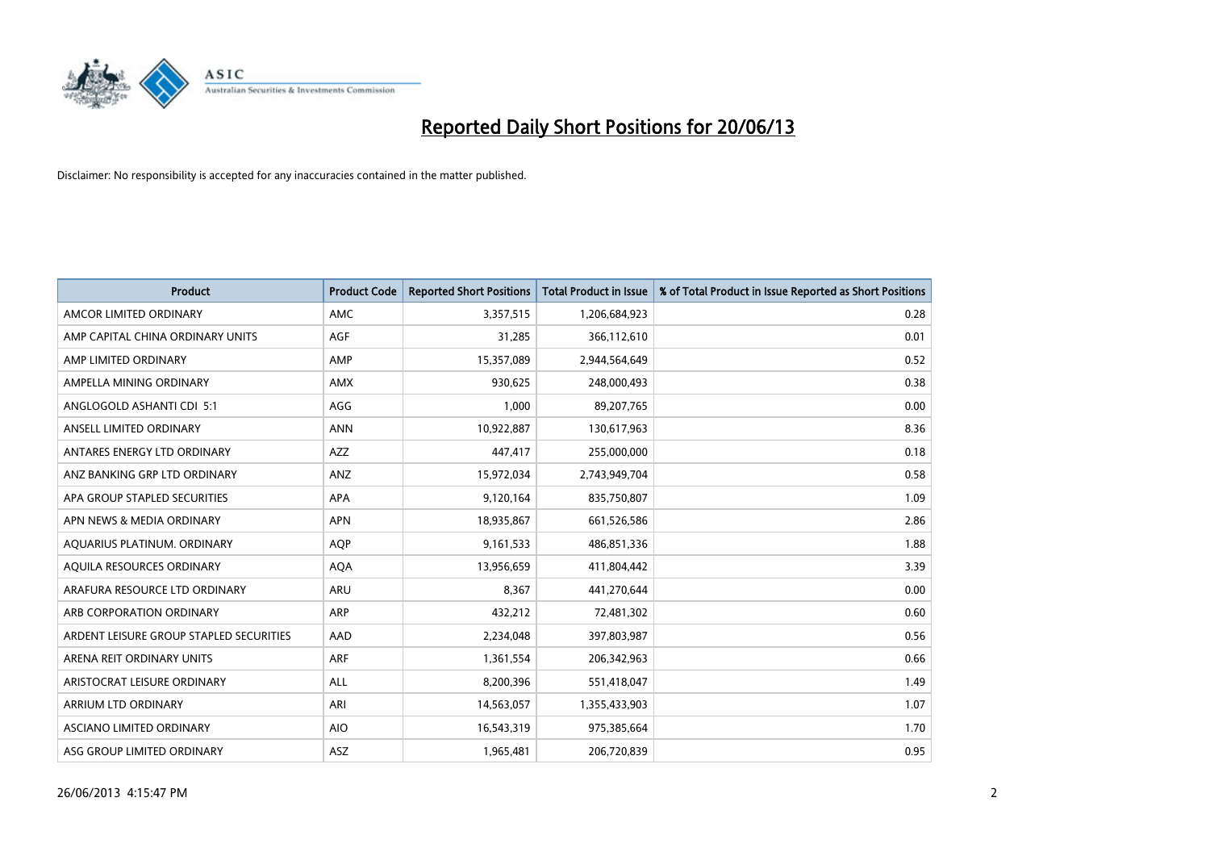

| <b>Product</b>                          | <b>Product Code</b> | <b>Reported Short Positions</b> | <b>Total Product in Issue</b> | % of Total Product in Issue Reported as Short Positions |
|-----------------------------------------|---------------------|---------------------------------|-------------------------------|---------------------------------------------------------|
| AMCOR LIMITED ORDINARY                  | AMC                 | 3,357,515                       | 1,206,684,923                 | 0.28                                                    |
| AMP CAPITAL CHINA ORDINARY UNITS        | AGF                 | 31,285                          | 366,112,610                   | 0.01                                                    |
| AMP LIMITED ORDINARY                    | AMP                 | 15,357,089                      | 2,944,564,649                 | 0.52                                                    |
| AMPELLA MINING ORDINARY                 | <b>AMX</b>          | 930.625                         | 248,000,493                   | 0.38                                                    |
| ANGLOGOLD ASHANTI CDI 5:1               | AGG                 | 1,000                           | 89,207,765                    | 0.00                                                    |
| ANSELL LIMITED ORDINARY                 | <b>ANN</b>          | 10,922,887                      | 130,617,963                   | 8.36                                                    |
| ANTARES ENERGY LTD ORDINARY             | <b>AZZ</b>          | 447,417                         | 255,000,000                   | 0.18                                                    |
| ANZ BANKING GRP LTD ORDINARY            | ANZ                 | 15,972,034                      | 2,743,949,704                 | 0.58                                                    |
| APA GROUP STAPLED SECURITIES            | APA                 | 9,120,164                       | 835,750,807                   | 1.09                                                    |
| APN NEWS & MEDIA ORDINARY               | <b>APN</b>          | 18,935,867                      | 661,526,586                   | 2.86                                                    |
| AQUARIUS PLATINUM. ORDINARY             | <b>AOP</b>          | 9,161,533                       | 486,851,336                   | 1.88                                                    |
| AQUILA RESOURCES ORDINARY               | <b>AQA</b>          | 13,956,659                      | 411,804,442                   | 3.39                                                    |
| ARAFURA RESOURCE LTD ORDINARY           | ARU                 | 8,367                           | 441,270,644                   | 0.00                                                    |
| ARB CORPORATION ORDINARY                | <b>ARP</b>          | 432,212                         | 72,481,302                    | 0.60                                                    |
| ARDENT LEISURE GROUP STAPLED SECURITIES | AAD                 | 2,234,048                       | 397,803,987                   | 0.56                                                    |
| ARENA REIT ORDINARY UNITS               | <b>ARF</b>          | 1,361,554                       | 206,342,963                   | 0.66                                                    |
| ARISTOCRAT LEISURE ORDINARY             | ALL                 | 8,200,396                       | 551,418,047                   | 1.49                                                    |
| <b>ARRIUM LTD ORDINARY</b>              | ARI                 | 14,563,057                      | 1,355,433,903                 | 1.07                                                    |
| ASCIANO LIMITED ORDINARY                | <b>AIO</b>          | 16,543,319                      | 975,385,664                   | 1.70                                                    |
| ASG GROUP LIMITED ORDINARY              | ASZ                 | 1,965,481                       | 206,720,839                   | 0.95                                                    |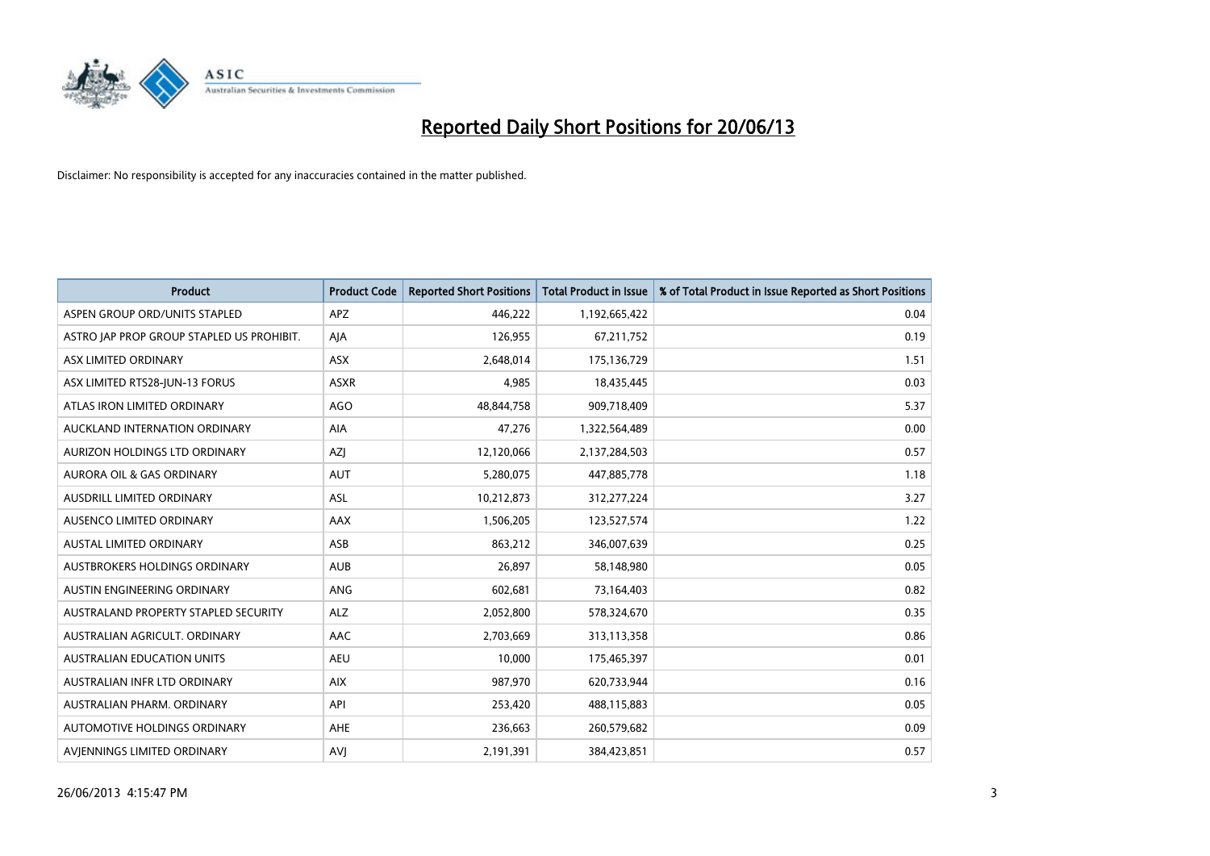

| <b>Product</b>                            | <b>Product Code</b> | <b>Reported Short Positions</b> | <b>Total Product in Issue</b> | % of Total Product in Issue Reported as Short Positions |
|-------------------------------------------|---------------------|---------------------------------|-------------------------------|---------------------------------------------------------|
| ASPEN GROUP ORD/UNITS STAPLED             | <b>APZ</b>          | 446,222                         | 1,192,665,422                 | 0.04                                                    |
| ASTRO JAP PROP GROUP STAPLED US PROHIBIT. | AJA                 | 126,955                         | 67,211,752                    | 0.19                                                    |
| ASX LIMITED ORDINARY                      | ASX                 | 2,648,014                       | 175,136,729                   | 1.51                                                    |
| ASX LIMITED RTS28-JUN-13 FORUS            | <b>ASXR</b>         | 4,985                           | 18,435,445                    | 0.03                                                    |
| ATLAS IRON LIMITED ORDINARY               | AGO                 | 48,844,758                      | 909,718,409                   | 5.37                                                    |
| AUCKLAND INTERNATION ORDINARY             | AIA                 | 47,276                          | 1,322,564,489                 | 0.00                                                    |
| AURIZON HOLDINGS LTD ORDINARY             | AZJ                 | 12,120,066                      | 2,137,284,503                 | 0.57                                                    |
| AURORA OIL & GAS ORDINARY                 | <b>AUT</b>          | 5,280,075                       | 447,885,778                   | 1.18                                                    |
| AUSDRILL LIMITED ORDINARY                 | <b>ASL</b>          | 10,212,873                      | 312,277,224                   | 3.27                                                    |
| AUSENCO LIMITED ORDINARY                  | AAX                 | 1,506,205                       | 123,527,574                   | 1.22                                                    |
| AUSTAL LIMITED ORDINARY                   | ASB                 | 863,212                         | 346,007,639                   | 0.25                                                    |
| AUSTBROKERS HOLDINGS ORDINARY             | <b>AUB</b>          | 26,897                          | 58,148,980                    | 0.05                                                    |
| AUSTIN ENGINEERING ORDINARY               | ANG                 | 602,681                         | 73,164,403                    | 0.82                                                    |
| AUSTRALAND PROPERTY STAPLED SECURITY      | <b>ALZ</b>          | 2,052,800                       | 578,324,670                   | 0.35                                                    |
| AUSTRALIAN AGRICULT, ORDINARY             | AAC                 | 2,703,669                       | 313,113,358                   | 0.86                                                    |
| AUSTRALIAN EDUCATION UNITS                | <b>AEU</b>          | 10,000                          | 175,465,397                   | 0.01                                                    |
| AUSTRALIAN INFR LTD ORDINARY              | <b>AIX</b>          | 987,970                         | 620,733,944                   | 0.16                                                    |
| AUSTRALIAN PHARM, ORDINARY                | API                 | 253,420                         | 488,115,883                   | 0.05                                                    |
| AUTOMOTIVE HOLDINGS ORDINARY              | AHE                 | 236,663                         | 260,579,682                   | 0.09                                                    |
| AVJENNINGS LIMITED ORDINARY               | <b>AVJ</b>          | 2,191,391                       | 384,423,851                   | 0.57                                                    |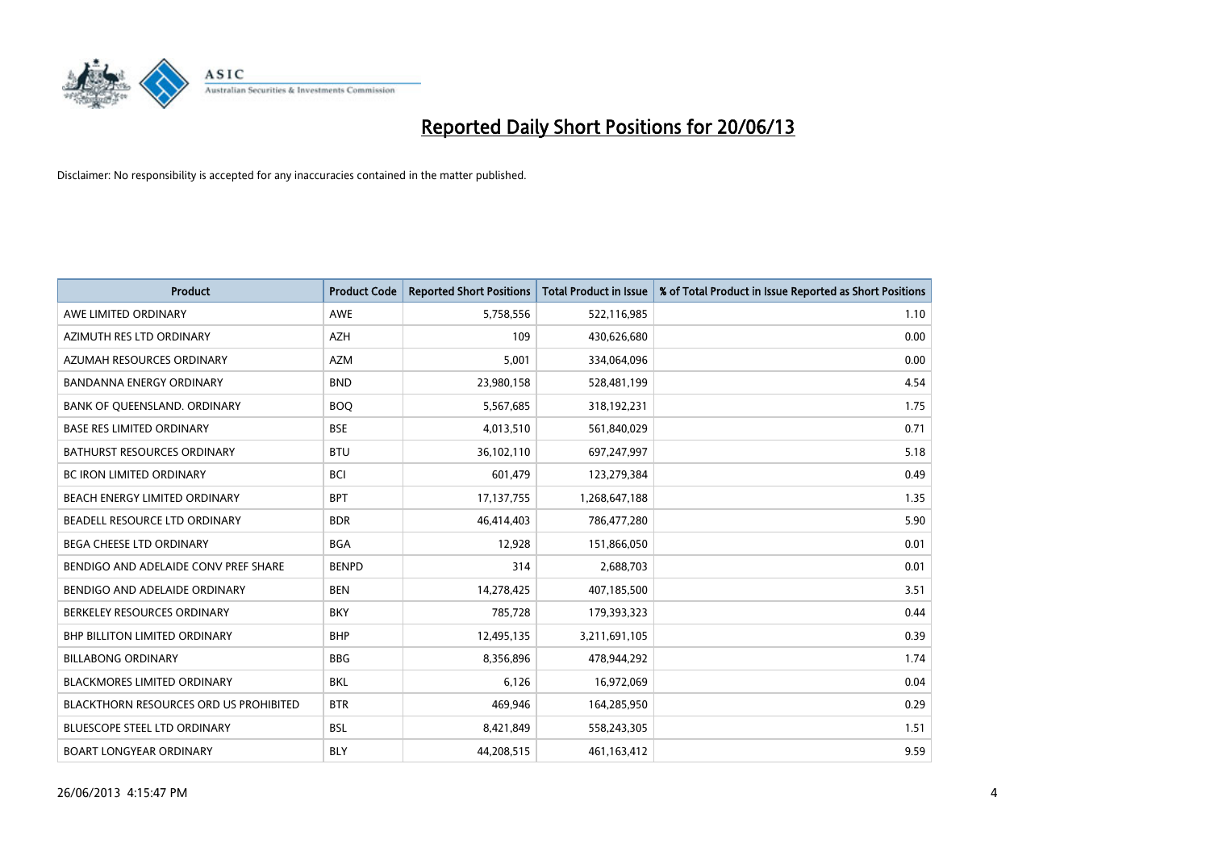

| <b>Product</b>                                | <b>Product Code</b> | <b>Reported Short Positions</b> | <b>Total Product in Issue</b> | % of Total Product in Issue Reported as Short Positions |
|-----------------------------------------------|---------------------|---------------------------------|-------------------------------|---------------------------------------------------------|
| AWE LIMITED ORDINARY                          | <b>AWE</b>          | 5,758,556                       | 522,116,985                   | 1.10                                                    |
| AZIMUTH RES LTD ORDINARY                      | AZH                 | 109                             | 430,626,680                   | 0.00                                                    |
| AZUMAH RESOURCES ORDINARY                     | <b>AZM</b>          | 5,001                           | 334,064,096                   | 0.00                                                    |
| <b>BANDANNA ENERGY ORDINARY</b>               | <b>BND</b>          | 23,980,158                      | 528,481,199                   | 4.54                                                    |
| BANK OF QUEENSLAND. ORDINARY                  | <b>BOQ</b>          | 5,567,685                       | 318,192,231                   | 1.75                                                    |
| <b>BASE RES LIMITED ORDINARY</b>              | <b>BSE</b>          | 4,013,510                       | 561,840,029                   | 0.71                                                    |
| BATHURST RESOURCES ORDINARY                   | <b>BTU</b>          | 36,102,110                      | 697,247,997                   | 5.18                                                    |
| <b>BC IRON LIMITED ORDINARY</b>               | <b>BCI</b>          | 601,479                         | 123,279,384                   | 0.49                                                    |
| BEACH ENERGY LIMITED ORDINARY                 | <b>BPT</b>          | 17,137,755                      | 1,268,647,188                 | 1.35                                                    |
| BEADELL RESOURCE LTD ORDINARY                 | <b>BDR</b>          | 46,414,403                      | 786,477,280                   | 5.90                                                    |
| BEGA CHEESE LTD ORDINARY                      | <b>BGA</b>          | 12,928                          | 151,866,050                   | 0.01                                                    |
| BENDIGO AND ADELAIDE CONV PREF SHARE          | <b>BENPD</b>        | 314                             | 2,688,703                     | 0.01                                                    |
| BENDIGO AND ADELAIDE ORDINARY                 | <b>BEN</b>          | 14,278,425                      | 407,185,500                   | 3.51                                                    |
| BERKELEY RESOURCES ORDINARY                   | <b>BKY</b>          | 785,728                         | 179,393,323                   | 0.44                                                    |
| <b>BHP BILLITON LIMITED ORDINARY</b>          | <b>BHP</b>          | 12,495,135                      | 3,211,691,105                 | 0.39                                                    |
| <b>BILLABONG ORDINARY</b>                     | <b>BBG</b>          | 8,356,896                       | 478,944,292                   | 1.74                                                    |
| BLACKMORES LIMITED ORDINARY                   | <b>BKL</b>          | 6,126                           | 16,972,069                    | 0.04                                                    |
| <b>BLACKTHORN RESOURCES ORD US PROHIBITED</b> | <b>BTR</b>          | 469,946                         | 164,285,950                   | 0.29                                                    |
| <b>BLUESCOPE STEEL LTD ORDINARY</b>           | <b>BSL</b>          | 8,421,849                       | 558,243,305                   | 1.51                                                    |
| <b>BOART LONGYEAR ORDINARY</b>                | <b>BLY</b>          | 44,208,515                      | 461,163,412                   | 9.59                                                    |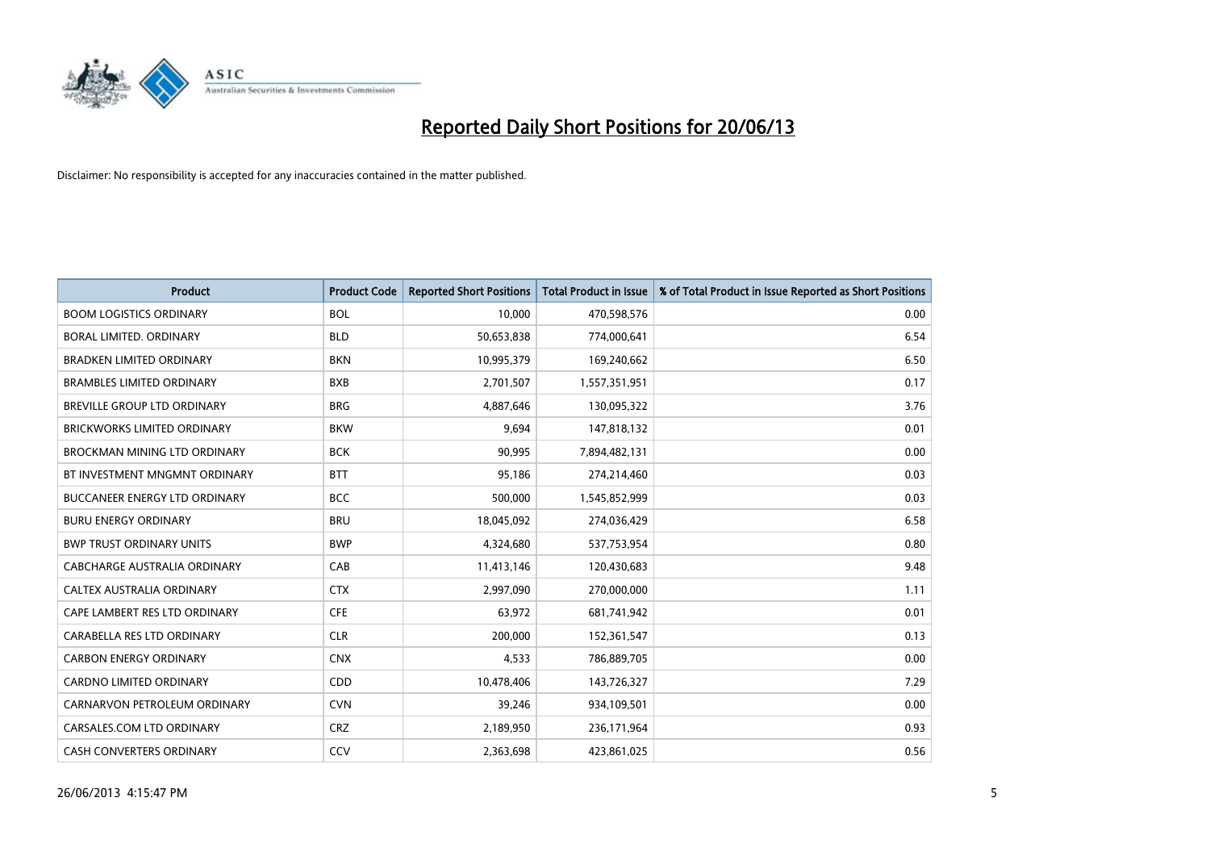

| <b>Product</b>                       | <b>Product Code</b> | <b>Reported Short Positions</b> | <b>Total Product in Issue</b> | % of Total Product in Issue Reported as Short Positions |
|--------------------------------------|---------------------|---------------------------------|-------------------------------|---------------------------------------------------------|
| <b>BOOM LOGISTICS ORDINARY</b>       | <b>BOL</b>          | 10,000                          | 470,598,576                   | 0.00                                                    |
| <b>BORAL LIMITED, ORDINARY</b>       | <b>BLD</b>          | 50,653,838                      | 774,000,641                   | 6.54                                                    |
| <b>BRADKEN LIMITED ORDINARY</b>      | <b>BKN</b>          | 10,995,379                      | 169,240,662                   | 6.50                                                    |
| <b>BRAMBLES LIMITED ORDINARY</b>     | <b>BXB</b>          | 2,701,507                       | 1,557,351,951                 | 0.17                                                    |
| <b>BREVILLE GROUP LTD ORDINARY</b>   | <b>BRG</b>          | 4,887,646                       | 130,095,322                   | 3.76                                                    |
| <b>BRICKWORKS LIMITED ORDINARY</b>   | <b>BKW</b>          | 9,694                           | 147,818,132                   | 0.01                                                    |
| <b>BROCKMAN MINING LTD ORDINARY</b>  | <b>BCK</b>          | 90,995                          | 7,894,482,131                 | 0.00                                                    |
| BT INVESTMENT MNGMNT ORDINARY        | <b>BTT</b>          | 95,186                          | 274,214,460                   | 0.03                                                    |
| <b>BUCCANEER ENERGY LTD ORDINARY</b> | <b>BCC</b>          | 500,000                         | 1,545,852,999                 | 0.03                                                    |
| <b>BURU ENERGY ORDINARY</b>          | <b>BRU</b>          | 18,045,092                      | 274,036,429                   | 6.58                                                    |
| <b>BWP TRUST ORDINARY UNITS</b>      | <b>BWP</b>          | 4,324,680                       | 537,753,954                   | 0.80                                                    |
| CABCHARGE AUSTRALIA ORDINARY         | CAB                 | 11,413,146                      | 120,430,683                   | 9.48                                                    |
| CALTEX AUSTRALIA ORDINARY            | <b>CTX</b>          | 2,997,090                       | 270,000,000                   | 1.11                                                    |
| CAPE LAMBERT RES LTD ORDINARY        | <b>CFE</b>          | 63,972                          | 681,741,942                   | 0.01                                                    |
| CARABELLA RES LTD ORDINARY           | <b>CLR</b>          | 200,000                         | 152,361,547                   | 0.13                                                    |
| <b>CARBON ENERGY ORDINARY</b>        | <b>CNX</b>          | 4,533                           | 786,889,705                   | 0.00                                                    |
| <b>CARDNO LIMITED ORDINARY</b>       | CDD                 | 10,478,406                      | 143,726,327                   | 7.29                                                    |
| CARNARVON PETROLEUM ORDINARY         | <b>CVN</b>          | 39,246                          | 934,109,501                   | 0.00                                                    |
| CARSALES.COM LTD ORDINARY            | <b>CRZ</b>          | 2,189,950                       | 236,171,964                   | 0.93                                                    |
| <b>CASH CONVERTERS ORDINARY</b>      | CCV                 | 2,363,698                       | 423,861,025                   | 0.56                                                    |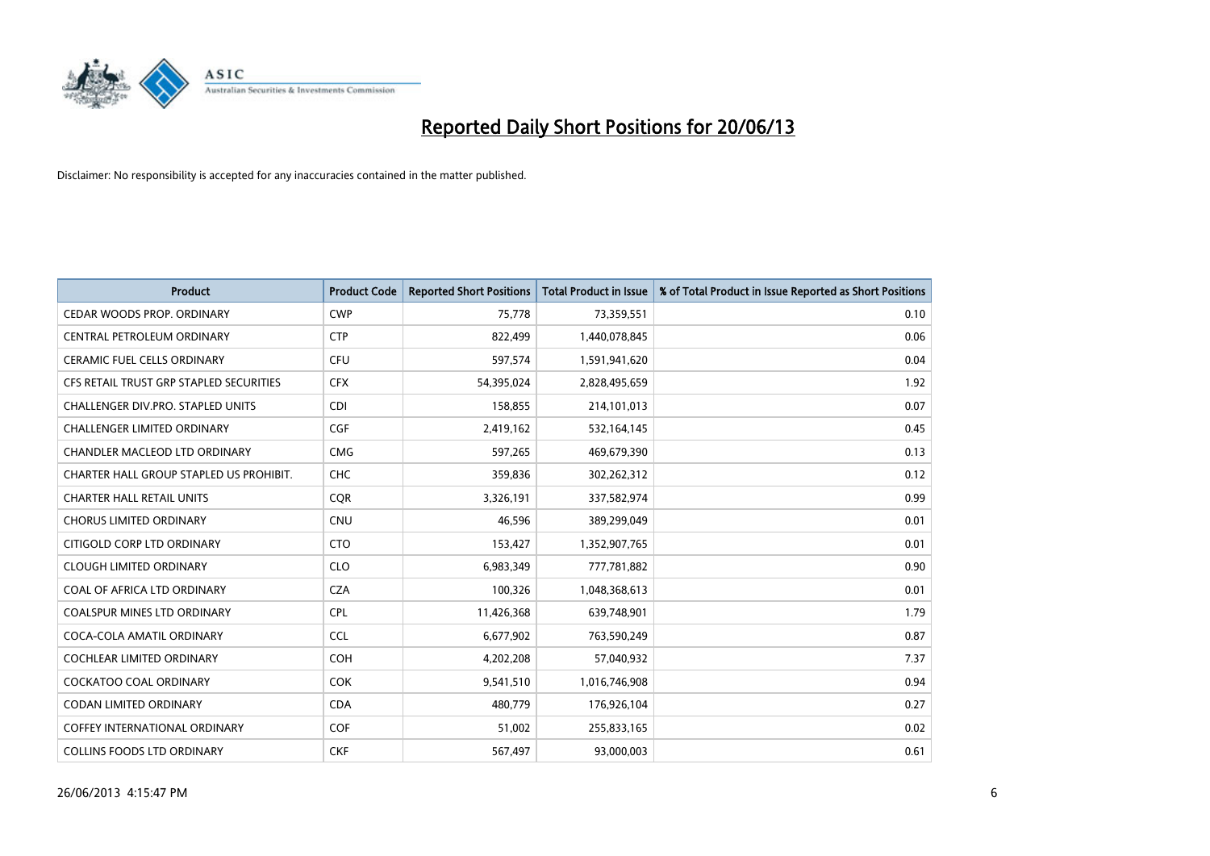

| Product                                 | <b>Product Code</b> | <b>Reported Short Positions</b> | <b>Total Product in Issue</b> | % of Total Product in Issue Reported as Short Positions |
|-----------------------------------------|---------------------|---------------------------------|-------------------------------|---------------------------------------------------------|
| CEDAR WOODS PROP. ORDINARY              | <b>CWP</b>          | 75,778                          | 73,359,551                    | 0.10                                                    |
| CENTRAL PETROLEUM ORDINARY              | <b>CTP</b>          | 822,499                         | 1,440,078,845                 | 0.06                                                    |
| <b>CERAMIC FUEL CELLS ORDINARY</b>      | <b>CFU</b>          | 597,574                         | 1,591,941,620                 | 0.04                                                    |
| CFS RETAIL TRUST GRP STAPLED SECURITIES | <b>CFX</b>          | 54,395,024                      | 2,828,495,659                 | 1.92                                                    |
| CHALLENGER DIV.PRO. STAPLED UNITS       | <b>CDI</b>          | 158,855                         | 214,101,013                   | 0.07                                                    |
| <b>CHALLENGER LIMITED ORDINARY</b>      | <b>CGF</b>          | 2,419,162                       | 532,164,145                   | 0.45                                                    |
| CHANDLER MACLEOD LTD ORDINARY           | <b>CMG</b>          | 597,265                         | 469,679,390                   | 0.13                                                    |
| CHARTER HALL GROUP STAPLED US PROHIBIT. | <b>CHC</b>          | 359,836                         | 302,262,312                   | 0.12                                                    |
| <b>CHARTER HALL RETAIL UNITS</b>        | <b>CQR</b>          | 3,326,191                       | 337,582,974                   | 0.99                                                    |
| <b>CHORUS LIMITED ORDINARY</b>          | <b>CNU</b>          | 46,596                          | 389,299,049                   | 0.01                                                    |
| CITIGOLD CORP LTD ORDINARY              | <b>CTO</b>          | 153,427                         | 1,352,907,765                 | 0.01                                                    |
| <b>CLOUGH LIMITED ORDINARY</b>          | <b>CLO</b>          | 6,983,349                       | 777,781,882                   | 0.90                                                    |
| COAL OF AFRICA LTD ORDINARY             | <b>CZA</b>          | 100,326                         | 1,048,368,613                 | 0.01                                                    |
| <b>COALSPUR MINES LTD ORDINARY</b>      | <b>CPL</b>          | 11,426,368                      | 639,748,901                   | 1.79                                                    |
| COCA-COLA AMATIL ORDINARY               | <b>CCL</b>          | 6,677,902                       | 763,590,249                   | 0.87                                                    |
| <b>COCHLEAR LIMITED ORDINARY</b>        | <b>COH</b>          | 4,202,208                       | 57,040,932                    | 7.37                                                    |
| COCKATOO COAL ORDINARY                  | <b>COK</b>          | 9,541,510                       | 1,016,746,908                 | 0.94                                                    |
| <b>CODAN LIMITED ORDINARY</b>           | <b>CDA</b>          | 480,779                         | 176,926,104                   | 0.27                                                    |
| <b>COFFEY INTERNATIONAL ORDINARY</b>    | <b>COF</b>          | 51,002                          | 255,833,165                   | 0.02                                                    |
| <b>COLLINS FOODS LTD ORDINARY</b>       | <b>CKF</b>          | 567,497                         | 93,000,003                    | 0.61                                                    |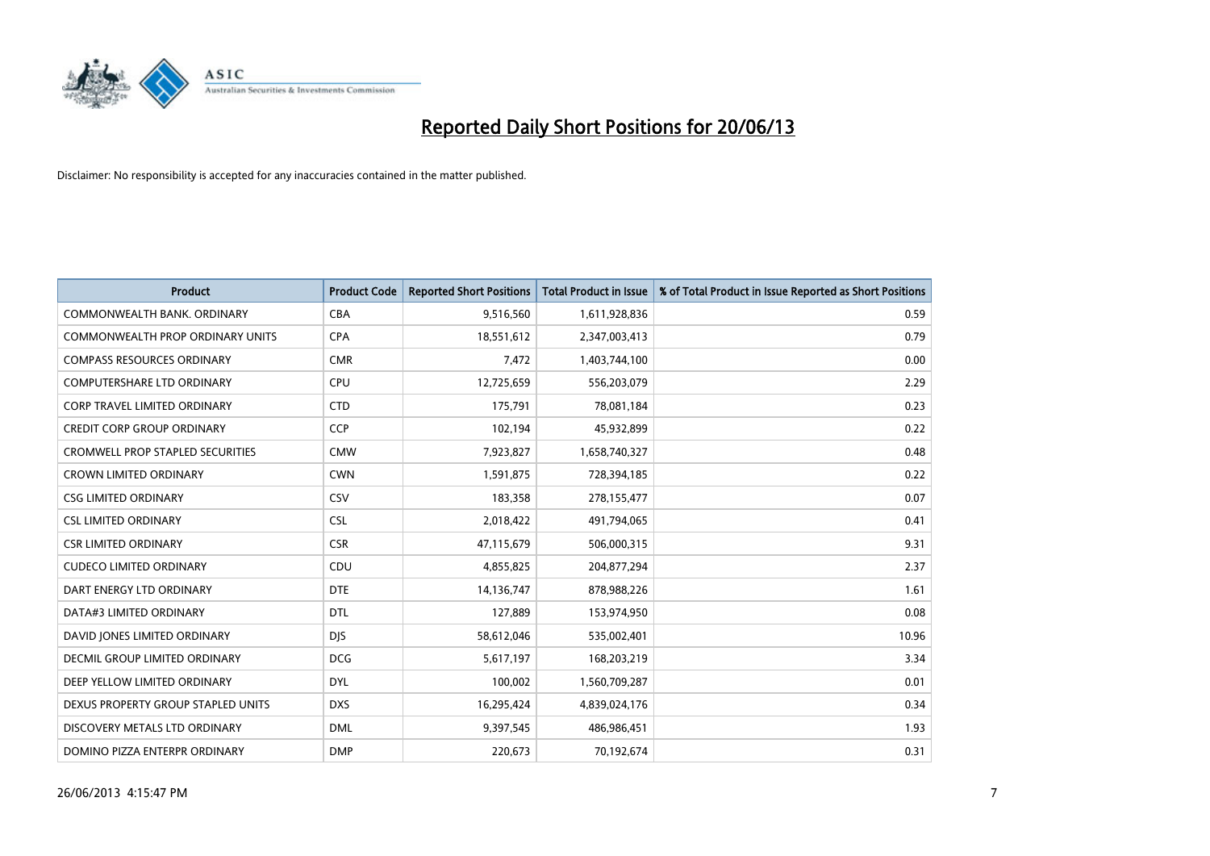

| <b>Product</b>                          | <b>Product Code</b> | <b>Reported Short Positions</b> | <b>Total Product in Issue</b> | % of Total Product in Issue Reported as Short Positions |
|-----------------------------------------|---------------------|---------------------------------|-------------------------------|---------------------------------------------------------|
| COMMONWEALTH BANK, ORDINARY             | <b>CBA</b>          | 9,516,560                       | 1,611,928,836                 | 0.59                                                    |
| COMMONWEALTH PROP ORDINARY UNITS        | <b>CPA</b>          | 18,551,612                      | 2,347,003,413                 | 0.79                                                    |
| <b>COMPASS RESOURCES ORDINARY</b>       | <b>CMR</b>          | 7,472                           | 1,403,744,100                 | 0.00                                                    |
| COMPUTERSHARE LTD ORDINARY              | <b>CPU</b>          | 12,725,659                      | 556,203,079                   | 2.29                                                    |
| <b>CORP TRAVEL LIMITED ORDINARY</b>     | <b>CTD</b>          | 175,791                         | 78,081,184                    | 0.23                                                    |
| <b>CREDIT CORP GROUP ORDINARY</b>       | <b>CCP</b>          | 102,194                         | 45,932,899                    | 0.22                                                    |
| <b>CROMWELL PROP STAPLED SECURITIES</b> | <b>CMW</b>          | 7,923,827                       | 1,658,740,327                 | 0.48                                                    |
| <b>CROWN LIMITED ORDINARY</b>           | <b>CWN</b>          | 1,591,875                       | 728,394,185                   | 0.22                                                    |
| <b>CSG LIMITED ORDINARY</b>             | CSV                 | 183,358                         | 278,155,477                   | 0.07                                                    |
| <b>CSL LIMITED ORDINARY</b>             | <b>CSL</b>          | 2,018,422                       | 491,794,065                   | 0.41                                                    |
| <b>CSR LIMITED ORDINARY</b>             | <b>CSR</b>          | 47,115,679                      | 506,000,315                   | 9.31                                                    |
| <b>CUDECO LIMITED ORDINARY</b>          | CDU                 | 4,855,825                       | 204,877,294                   | 2.37                                                    |
| DART ENERGY LTD ORDINARY                | <b>DTE</b>          | 14,136,747                      | 878,988,226                   | 1.61                                                    |
| DATA#3 LIMITED ORDINARY                 | <b>DTL</b>          | 127,889                         | 153,974,950                   | 0.08                                                    |
| DAVID JONES LIMITED ORDINARY            | <b>DJS</b>          | 58,612,046                      | 535,002,401                   | 10.96                                                   |
| DECMIL GROUP LIMITED ORDINARY           | <b>DCG</b>          | 5,617,197                       | 168,203,219                   | 3.34                                                    |
| DEEP YELLOW LIMITED ORDINARY            | <b>DYL</b>          | 100,002                         | 1,560,709,287                 | 0.01                                                    |
| DEXUS PROPERTY GROUP STAPLED UNITS      | <b>DXS</b>          | 16,295,424                      | 4,839,024,176                 | 0.34                                                    |
| DISCOVERY METALS LTD ORDINARY           | <b>DML</b>          | 9,397,545                       | 486,986,451                   | 1.93                                                    |
| DOMINO PIZZA ENTERPR ORDINARY           | <b>DMP</b>          | 220,673                         | 70,192,674                    | 0.31                                                    |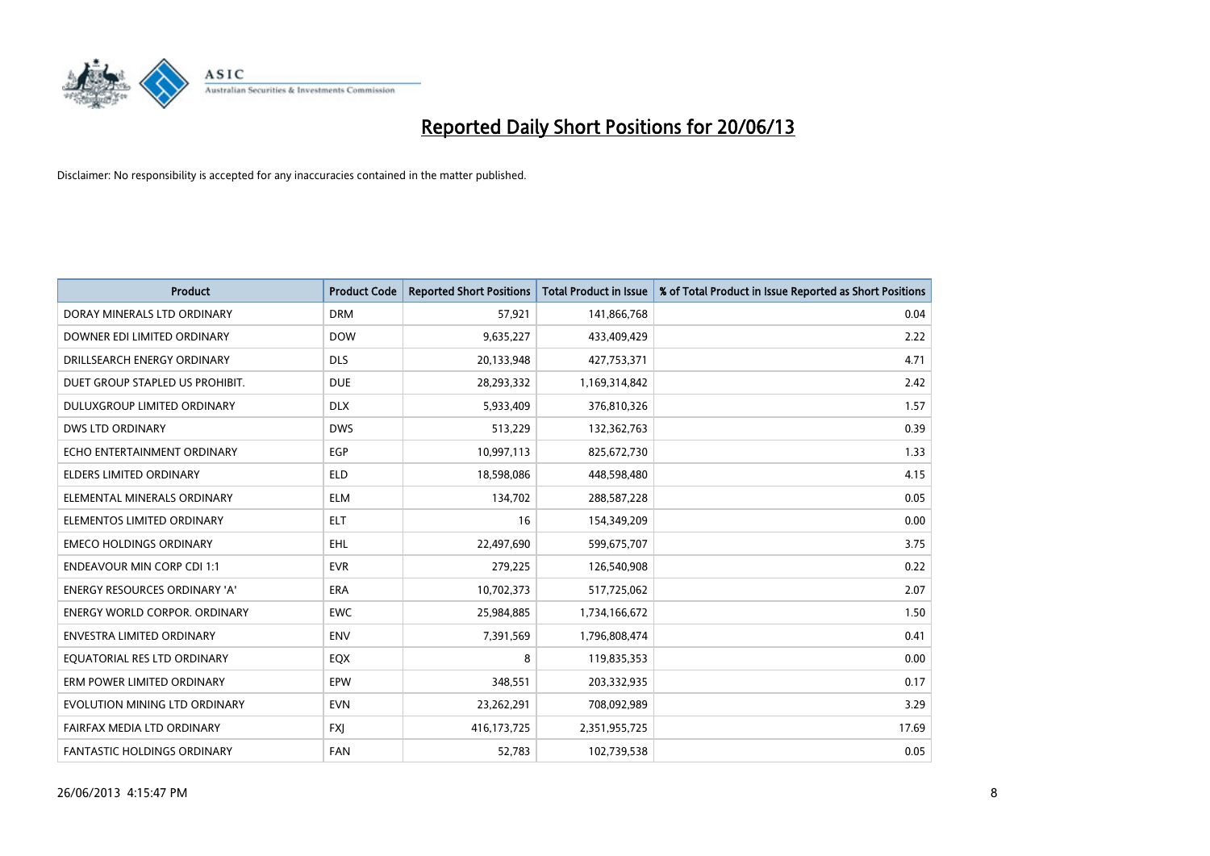

| <b>Product</b>                       | <b>Product Code</b> | <b>Reported Short Positions</b> | <b>Total Product in Issue</b> | % of Total Product in Issue Reported as Short Positions |
|--------------------------------------|---------------------|---------------------------------|-------------------------------|---------------------------------------------------------|
| DORAY MINERALS LTD ORDINARY          | <b>DRM</b>          | 57,921                          | 141,866,768                   | 0.04                                                    |
| DOWNER EDI LIMITED ORDINARY          | <b>DOW</b>          | 9,635,227                       | 433,409,429                   | 2.22                                                    |
| DRILLSEARCH ENERGY ORDINARY          | <b>DLS</b>          | 20,133,948                      | 427,753,371                   | 4.71                                                    |
| DUET GROUP STAPLED US PROHIBIT.      | <b>DUE</b>          | 28,293,332                      | 1,169,314,842                 | 2.42                                                    |
| DULUXGROUP LIMITED ORDINARY          | <b>DLX</b>          | 5,933,409                       | 376,810,326                   | 1.57                                                    |
| <b>DWS LTD ORDINARY</b>              | <b>DWS</b>          | 513,229                         | 132,362,763                   | 0.39                                                    |
| ECHO ENTERTAINMENT ORDINARY          | EGP                 | 10,997,113                      | 825,672,730                   | 1.33                                                    |
| ELDERS LIMITED ORDINARY              | <b>ELD</b>          | 18,598,086                      | 448,598,480                   | 4.15                                                    |
| ELEMENTAL MINERALS ORDINARY          | <b>ELM</b>          | 134,702                         | 288,587,228                   | 0.05                                                    |
| ELEMENTOS LIMITED ORDINARY           | <b>ELT</b>          | 16                              | 154,349,209                   | 0.00                                                    |
| <b>EMECO HOLDINGS ORDINARY</b>       | <b>EHL</b>          | 22,497,690                      | 599,675,707                   | 3.75                                                    |
| <b>ENDEAVOUR MIN CORP CDI 1:1</b>    | <b>EVR</b>          | 279,225                         | 126,540,908                   | 0.22                                                    |
| ENERGY RESOURCES ORDINARY 'A'        | <b>ERA</b>          | 10,702,373                      | 517,725,062                   | 2.07                                                    |
| <b>ENERGY WORLD CORPOR, ORDINARY</b> | <b>EWC</b>          | 25,984,885                      | 1,734,166,672                 | 1.50                                                    |
| <b>ENVESTRA LIMITED ORDINARY</b>     | <b>ENV</b>          | 7,391,569                       | 1,796,808,474                 | 0.41                                                    |
| EQUATORIAL RES LTD ORDINARY          | EQX                 | 8                               | 119,835,353                   | 0.00                                                    |
| ERM POWER LIMITED ORDINARY           | <b>EPW</b>          | 348,551                         | 203,332,935                   | 0.17                                                    |
| EVOLUTION MINING LTD ORDINARY        | <b>EVN</b>          | 23,262,291                      | 708,092,989                   | 3.29                                                    |
| FAIRFAX MEDIA LTD ORDINARY           | <b>FXI</b>          | 416, 173, 725                   | 2,351,955,725                 | 17.69                                                   |
| FANTASTIC HOLDINGS ORDINARY          | <b>FAN</b>          | 52,783                          | 102,739,538                   | 0.05                                                    |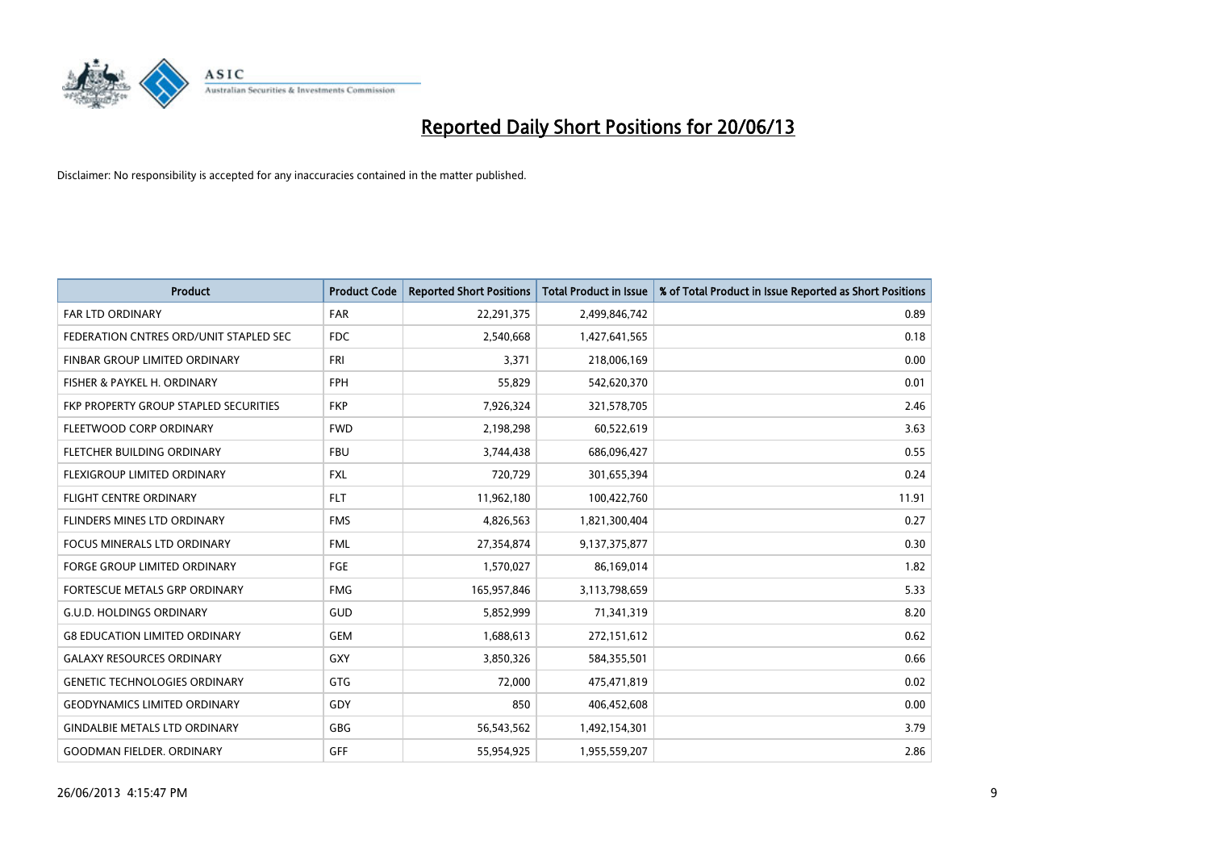

| <b>Product</b>                         | <b>Product Code</b> | <b>Reported Short Positions</b> | <b>Total Product in Issue</b> | % of Total Product in Issue Reported as Short Positions |
|----------------------------------------|---------------------|---------------------------------|-------------------------------|---------------------------------------------------------|
| <b>FAR LTD ORDINARY</b>                | <b>FAR</b>          | 22,291,375                      | 2,499,846,742                 | 0.89                                                    |
| FEDERATION CNTRES ORD/UNIT STAPLED SEC | FDC                 | 2,540,668                       | 1,427,641,565                 | 0.18                                                    |
| <b>FINBAR GROUP LIMITED ORDINARY</b>   | <b>FRI</b>          | 3,371                           | 218,006,169                   | 0.00                                                    |
| FISHER & PAYKEL H. ORDINARY            | <b>FPH</b>          | 55,829                          | 542,620,370                   | 0.01                                                    |
| FKP PROPERTY GROUP STAPLED SECURITIES  | <b>FKP</b>          | 7,926,324                       | 321,578,705                   | 2.46                                                    |
| FLEETWOOD CORP ORDINARY                | <b>FWD</b>          | 2,198,298                       | 60,522,619                    | 3.63                                                    |
| FLETCHER BUILDING ORDINARY             | <b>FBU</b>          | 3,744,438                       | 686,096,427                   | 0.55                                                    |
| FLEXIGROUP LIMITED ORDINARY            | FXL                 | 720,729                         | 301,655,394                   | 0.24                                                    |
| <b>FLIGHT CENTRE ORDINARY</b>          | <b>FLT</b>          | 11,962,180                      | 100,422,760                   | 11.91                                                   |
| FLINDERS MINES LTD ORDINARY            | <b>FMS</b>          | 4,826,563                       | 1,821,300,404                 | 0.27                                                    |
| FOCUS MINERALS LTD ORDINARY            | <b>FML</b>          | 27,354,874                      | 9,137,375,877                 | 0.30                                                    |
| FORGE GROUP LIMITED ORDINARY           | FGE                 | 1,570,027                       | 86,169,014                    | 1.82                                                    |
| FORTESCUE METALS GRP ORDINARY          | <b>FMG</b>          | 165,957,846                     | 3,113,798,659                 | 5.33                                                    |
| <b>G.U.D. HOLDINGS ORDINARY</b>        | GUD                 | 5,852,999                       | 71,341,319                    | 8.20                                                    |
| <b>G8 EDUCATION LIMITED ORDINARY</b>   | <b>GEM</b>          | 1,688,613                       | 272,151,612                   | 0.62                                                    |
| <b>GALAXY RESOURCES ORDINARY</b>       | GXY                 | 3,850,326                       | 584,355,501                   | 0.66                                                    |
| <b>GENETIC TECHNOLOGIES ORDINARY</b>   | GTG                 | 72,000                          | 475,471,819                   | 0.02                                                    |
| <b>GEODYNAMICS LIMITED ORDINARY</b>    | GDY                 | 850                             | 406,452,608                   | 0.00                                                    |
| <b>GINDALBIE METALS LTD ORDINARY</b>   | GBG                 | 56,543,562                      | 1,492,154,301                 | 3.79                                                    |
| <b>GOODMAN FIELDER, ORDINARY</b>       | <b>GFF</b>          | 55,954,925                      | 1,955,559,207                 | 2.86                                                    |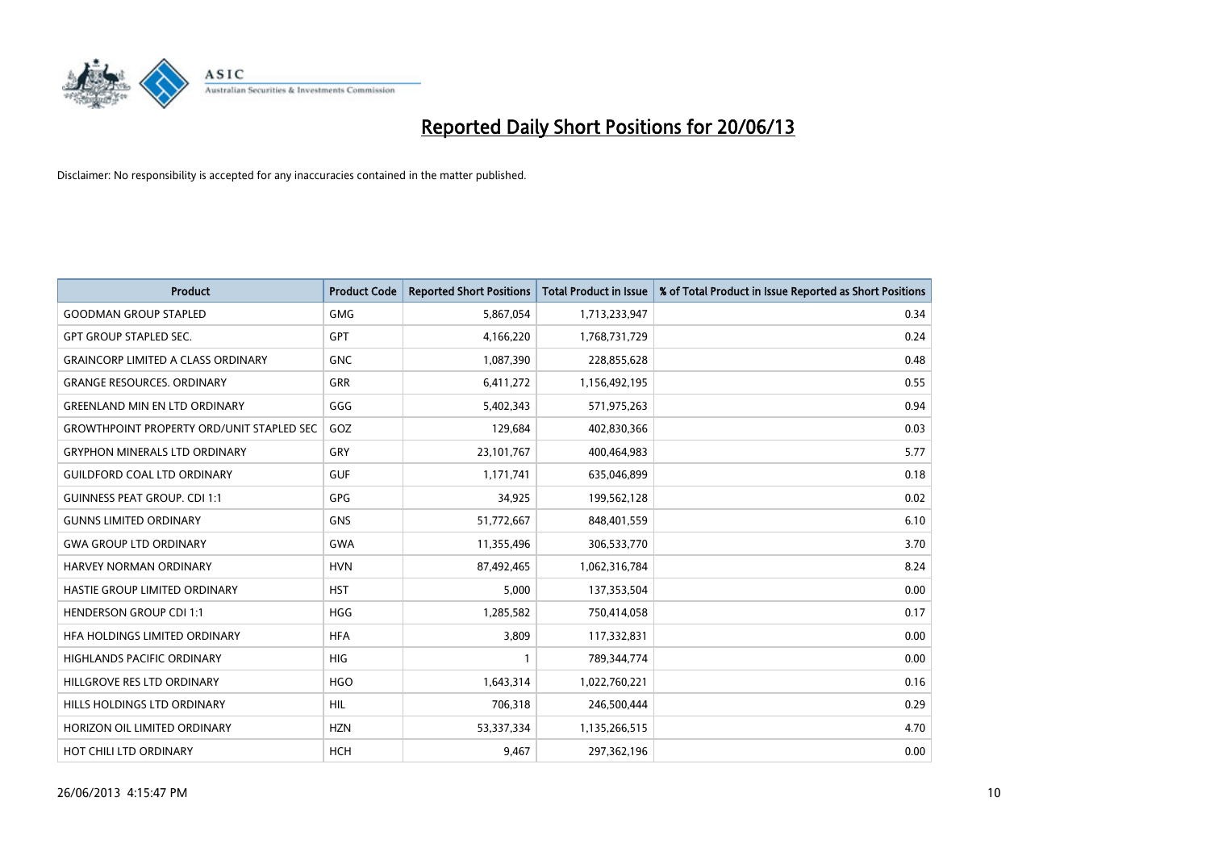

| Product                                          | <b>Product Code</b> | <b>Reported Short Positions</b> | <b>Total Product in Issue</b> | % of Total Product in Issue Reported as Short Positions |
|--------------------------------------------------|---------------------|---------------------------------|-------------------------------|---------------------------------------------------------|
| <b>GOODMAN GROUP STAPLED</b>                     | <b>GMG</b>          | 5,867,054                       | 1,713,233,947                 | 0.34                                                    |
| <b>GPT GROUP STAPLED SEC.</b>                    | <b>GPT</b>          | 4,166,220                       | 1,768,731,729                 | 0.24                                                    |
| <b>GRAINCORP LIMITED A CLASS ORDINARY</b>        | <b>GNC</b>          | 1,087,390                       | 228,855,628                   | 0.48                                                    |
| <b>GRANGE RESOURCES. ORDINARY</b>                | GRR                 | 6,411,272                       | 1,156,492,195                 | 0.55                                                    |
| <b>GREENLAND MIN EN LTD ORDINARY</b>             | GGG                 | 5,402,343                       | 571,975,263                   | 0.94                                                    |
| <b>GROWTHPOINT PROPERTY ORD/UNIT STAPLED SEC</b> | GOZ                 | 129,684                         | 402,830,366                   | 0.03                                                    |
| <b>GRYPHON MINERALS LTD ORDINARY</b>             | <b>GRY</b>          | 23,101,767                      | 400,464,983                   | 5.77                                                    |
| <b>GUILDFORD COAL LTD ORDINARY</b>               | <b>GUF</b>          | 1,171,741                       | 635,046,899                   | 0.18                                                    |
| <b>GUINNESS PEAT GROUP. CDI 1:1</b>              | GPG                 | 34,925                          | 199,562,128                   | 0.02                                                    |
| <b>GUNNS LIMITED ORDINARY</b>                    | <b>GNS</b>          | 51,772,667                      | 848,401,559                   | 6.10                                                    |
| <b>GWA GROUP LTD ORDINARY</b>                    | <b>GWA</b>          | 11,355,496                      | 306,533,770                   | 3.70                                                    |
| <b>HARVEY NORMAN ORDINARY</b>                    | <b>HVN</b>          | 87,492,465                      | 1,062,316,784                 | 8.24                                                    |
| HASTIE GROUP LIMITED ORDINARY                    | <b>HST</b>          | 5,000                           | 137,353,504                   | 0.00                                                    |
| <b>HENDERSON GROUP CDI 1:1</b>                   | <b>HGG</b>          | 1,285,582                       | 750,414,058                   | 0.17                                                    |
| HFA HOLDINGS LIMITED ORDINARY                    | <b>HFA</b>          | 3,809                           | 117,332,831                   | 0.00                                                    |
| HIGHLANDS PACIFIC ORDINARY                       | HIG                 |                                 | 789,344,774                   | 0.00                                                    |
| HILLGROVE RES LTD ORDINARY                       | <b>HGO</b>          | 1,643,314                       | 1,022,760,221                 | 0.16                                                    |
| HILLS HOLDINGS LTD ORDINARY                      | <b>HIL</b>          | 706,318                         | 246,500,444                   | 0.29                                                    |
| HORIZON OIL LIMITED ORDINARY                     | <b>HZN</b>          | 53,337,334                      | 1,135,266,515                 | 4.70                                                    |
| HOT CHILI LTD ORDINARY                           | <b>HCH</b>          | 9,467                           | 297,362,196                   | 0.00                                                    |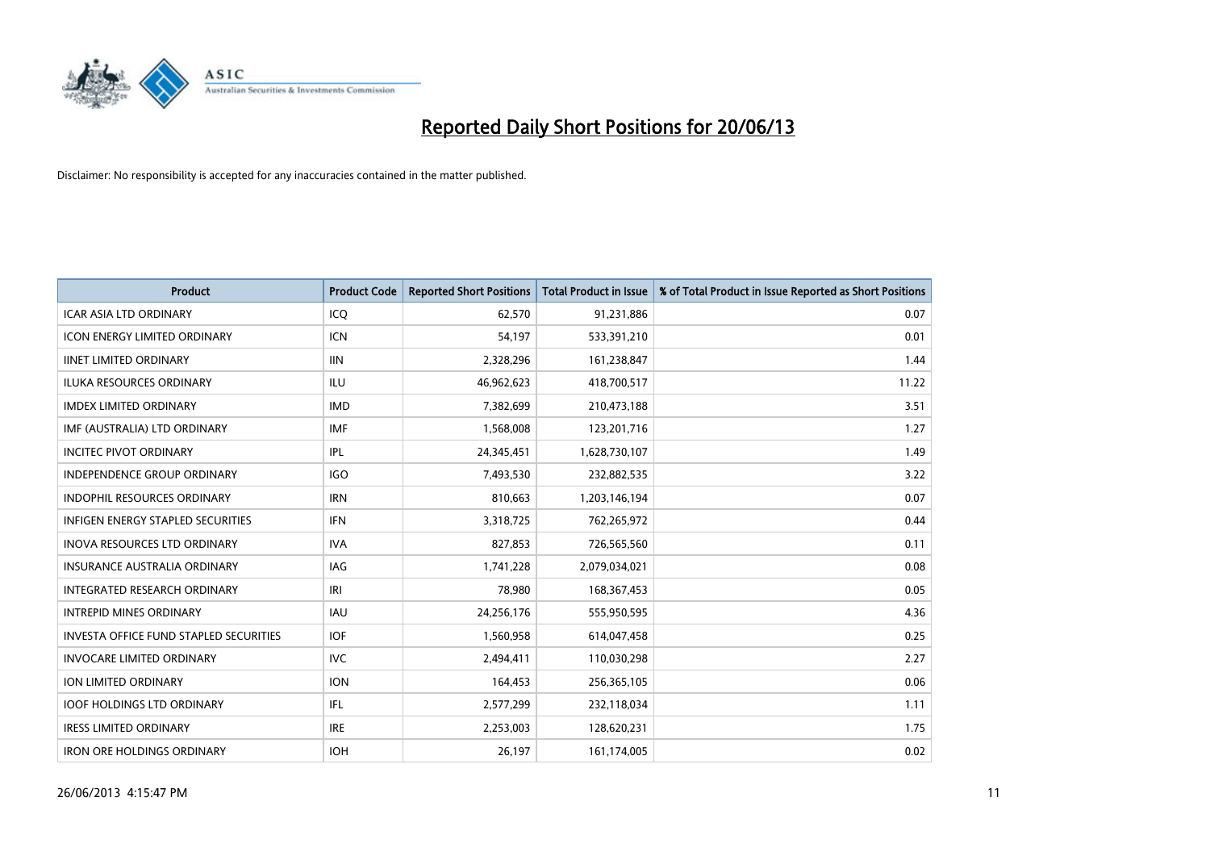

| <b>Product</b>                                | <b>Product Code</b> | <b>Reported Short Positions</b> | <b>Total Product in Issue</b> | % of Total Product in Issue Reported as Short Positions |
|-----------------------------------------------|---------------------|---------------------------------|-------------------------------|---------------------------------------------------------|
| <b>ICAR ASIA LTD ORDINARY</b>                 | ICQ                 | 62,570                          | 91,231,886                    | 0.07                                                    |
| <b>ICON ENERGY LIMITED ORDINARY</b>           | <b>ICN</b>          | 54,197                          | 533,391,210                   | 0.01                                                    |
| <b>IINET LIMITED ORDINARY</b>                 | <b>IIN</b>          | 2,328,296                       | 161,238,847                   | 1.44                                                    |
| ILUKA RESOURCES ORDINARY                      | <b>ILU</b>          | 46,962,623                      | 418,700,517                   | 11.22                                                   |
| <b>IMDEX LIMITED ORDINARY</b>                 | <b>IMD</b>          | 7,382,699                       | 210,473,188                   | 3.51                                                    |
| IMF (AUSTRALIA) LTD ORDINARY                  | <b>IMF</b>          | 1,568,008                       | 123,201,716                   | 1.27                                                    |
| <b>INCITEC PIVOT ORDINARY</b>                 | <b>IPL</b>          | 24,345,451                      | 1,628,730,107                 | 1.49                                                    |
| <b>INDEPENDENCE GROUP ORDINARY</b>            | <b>IGO</b>          | 7,493,530                       | 232,882,535                   | 3.22                                                    |
| <b>INDOPHIL RESOURCES ORDINARY</b>            | <b>IRN</b>          | 810,663                         | 1,203,146,194                 | 0.07                                                    |
| <b>INFIGEN ENERGY STAPLED SECURITIES</b>      | <b>IFN</b>          | 3,318,725                       | 762,265,972                   | 0.44                                                    |
| INOVA RESOURCES LTD ORDINARY                  | <b>IVA</b>          | 827,853                         | 726,565,560                   | 0.11                                                    |
| <b>INSURANCE AUSTRALIA ORDINARY</b>           | IAG                 | 1,741,228                       | 2,079,034,021                 | 0.08                                                    |
| <b>INTEGRATED RESEARCH ORDINARY</b>           | IRI                 | 78,980                          | 168, 367, 453                 | 0.05                                                    |
| <b>INTREPID MINES ORDINARY</b>                | <b>IAU</b>          | 24,256,176                      | 555,950,595                   | 4.36                                                    |
| <b>INVESTA OFFICE FUND STAPLED SECURITIES</b> | <b>IOF</b>          | 1,560,958                       | 614,047,458                   | 0.25                                                    |
| <b>INVOCARE LIMITED ORDINARY</b>              | <b>IVC</b>          | 2,494,411                       | 110,030,298                   | 2.27                                                    |
| ION LIMITED ORDINARY                          | <b>ION</b>          | 164,453                         | 256,365,105                   | 0.06                                                    |
| <b>IOOF HOLDINGS LTD ORDINARY</b>             | IFL                 | 2,577,299                       | 232,118,034                   | 1.11                                                    |
| <b>IRESS LIMITED ORDINARY</b>                 | <b>IRE</b>          | 2,253,003                       | 128,620,231                   | 1.75                                                    |
| <b>IRON ORE HOLDINGS ORDINARY</b>             | <b>IOH</b>          | 26,197                          | 161,174,005                   | 0.02                                                    |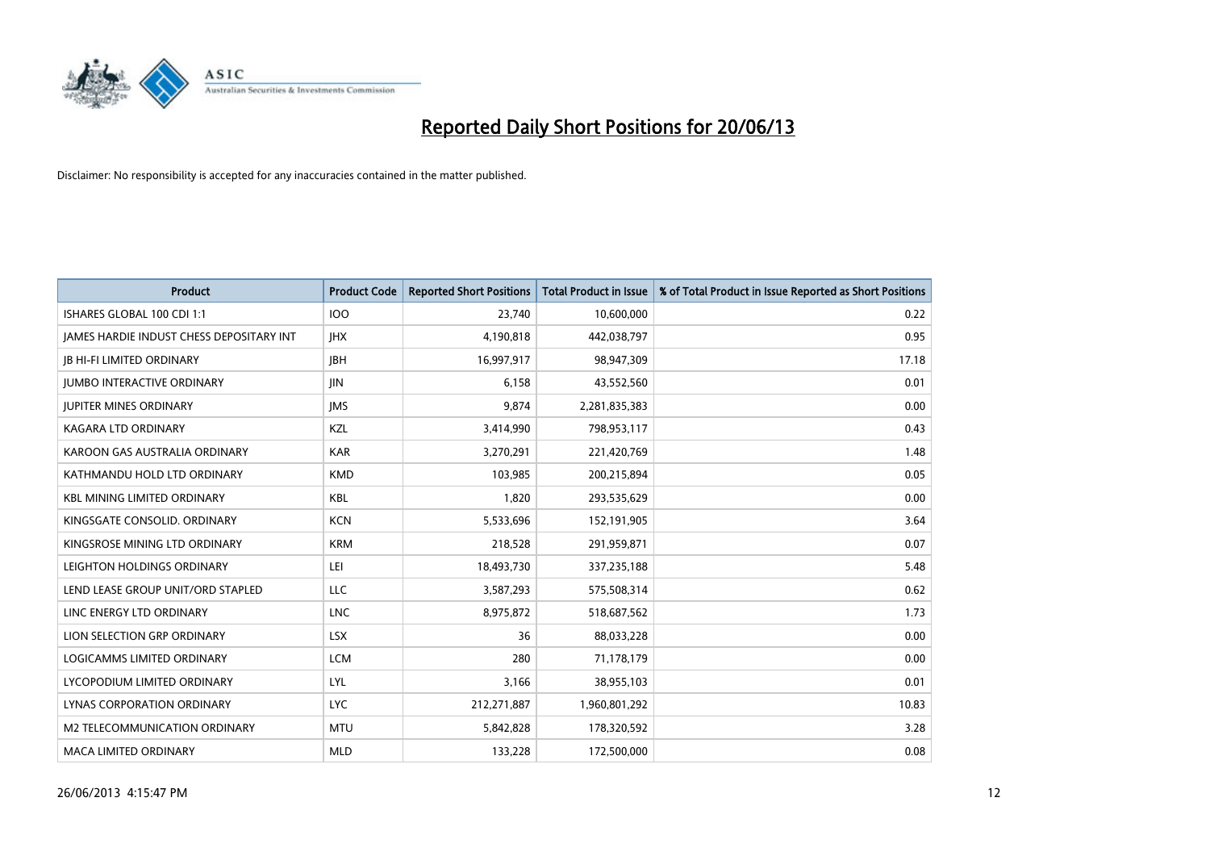

| <b>Product</b>                           | <b>Product Code</b> | <b>Reported Short Positions</b> | <b>Total Product in Issue</b> | % of Total Product in Issue Reported as Short Positions |
|------------------------------------------|---------------------|---------------------------------|-------------------------------|---------------------------------------------------------|
| ISHARES GLOBAL 100 CDI 1:1               | 100                 | 23,740                          | 10,600,000                    | 0.22                                                    |
| JAMES HARDIE INDUST CHESS DEPOSITARY INT | <b>IHX</b>          | 4,190,818                       | 442,038,797                   | 0.95                                                    |
| <b>JB HI-FI LIMITED ORDINARY</b>         | <b>JBH</b>          | 16,997,917                      | 98,947,309                    | 17.18                                                   |
| <b>JUMBO INTERACTIVE ORDINARY</b>        | JIN                 | 6,158                           | 43,552,560                    | 0.01                                                    |
| <b>JUPITER MINES ORDINARY</b>            | <b>IMS</b>          | 9,874                           | 2,281,835,383                 | 0.00                                                    |
| <b>KAGARA LTD ORDINARY</b>               | KZL                 | 3,414,990                       | 798,953,117                   | 0.43                                                    |
| KAROON GAS AUSTRALIA ORDINARY            | <b>KAR</b>          | 3,270,291                       | 221,420,769                   | 1.48                                                    |
| KATHMANDU HOLD LTD ORDINARY              | <b>KMD</b>          | 103,985                         | 200,215,894                   | 0.05                                                    |
| <b>KBL MINING LIMITED ORDINARY</b>       | <b>KBL</b>          | 1,820                           | 293,535,629                   | 0.00                                                    |
| KINGSGATE CONSOLID. ORDINARY             | <b>KCN</b>          | 5,533,696                       | 152,191,905                   | 3.64                                                    |
| KINGSROSE MINING LTD ORDINARY            | <b>KRM</b>          | 218,528                         | 291,959,871                   | 0.07                                                    |
| LEIGHTON HOLDINGS ORDINARY               | LEI                 | 18,493,730                      | 337,235,188                   | 5.48                                                    |
| LEND LEASE GROUP UNIT/ORD STAPLED        | <b>LLC</b>          | 3,587,293                       | 575,508,314                   | 0.62                                                    |
| LINC ENERGY LTD ORDINARY                 | <b>LNC</b>          | 8,975,872                       | 518,687,562                   | 1.73                                                    |
| LION SELECTION GRP ORDINARY              | <b>LSX</b>          | 36                              | 88,033,228                    | 0.00                                                    |
| LOGICAMMS LIMITED ORDINARY               | <b>LCM</b>          | 280                             | 71,178,179                    | 0.00                                                    |
| LYCOPODIUM LIMITED ORDINARY              | LYL                 | 3,166                           | 38,955,103                    | 0.01                                                    |
| LYNAS CORPORATION ORDINARY               | <b>LYC</b>          | 212,271,887                     | 1,960,801,292                 | 10.83                                                   |
| <b>M2 TELECOMMUNICATION ORDINARY</b>     | <b>MTU</b>          | 5,842,828                       | 178,320,592                   | 3.28                                                    |
| <b>MACA LIMITED ORDINARY</b>             | <b>MLD</b>          | 133,228                         | 172,500,000                   | 0.08                                                    |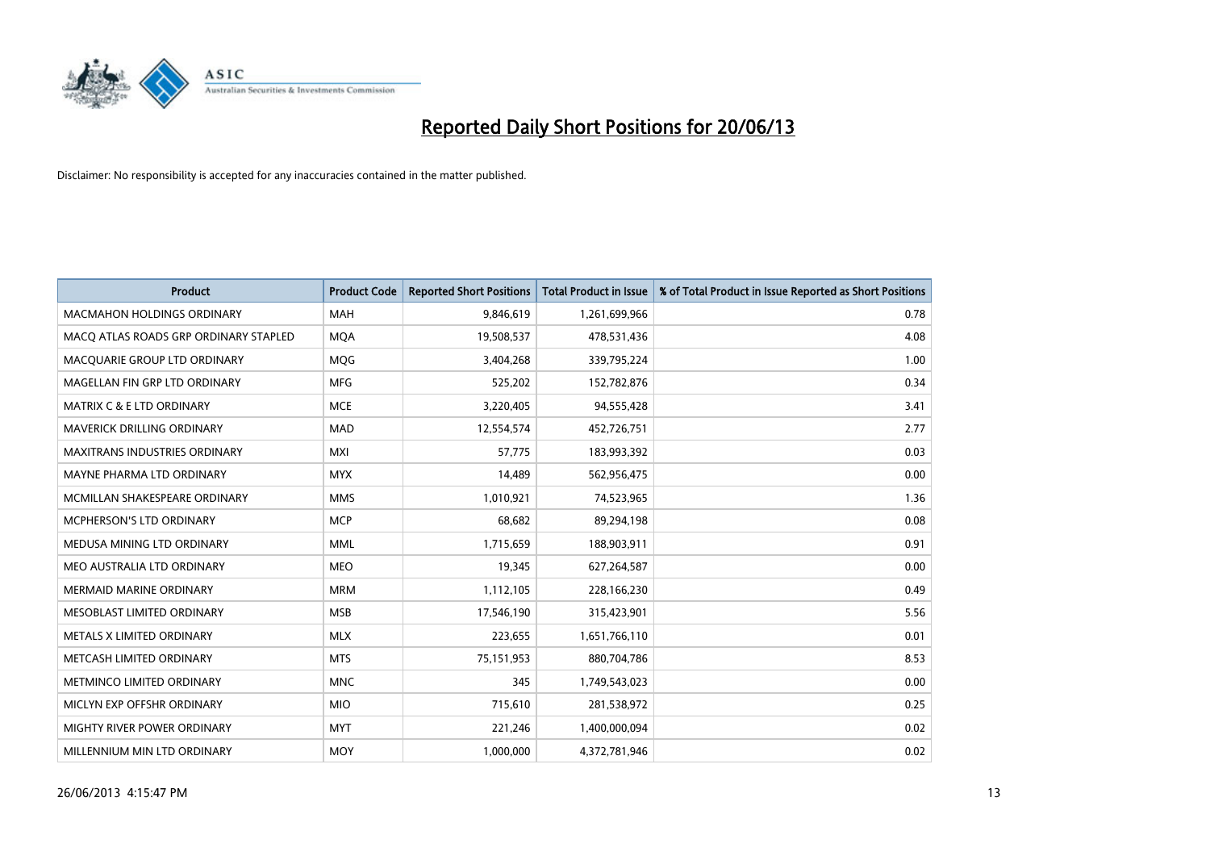

| <b>Product</b>                        | <b>Product Code</b> | <b>Reported Short Positions</b> | <b>Total Product in Issue</b> | % of Total Product in Issue Reported as Short Positions |
|---------------------------------------|---------------------|---------------------------------|-------------------------------|---------------------------------------------------------|
| <b>MACMAHON HOLDINGS ORDINARY</b>     | <b>MAH</b>          | 9,846,619                       | 1,261,699,966                 | 0.78                                                    |
| MACQ ATLAS ROADS GRP ORDINARY STAPLED | <b>MQA</b>          | 19,508,537                      | 478,531,436                   | 4.08                                                    |
| MACQUARIE GROUP LTD ORDINARY          | <b>MOG</b>          | 3,404,268                       | 339,795,224                   | 1.00                                                    |
| MAGELLAN FIN GRP LTD ORDINARY         | <b>MFG</b>          | 525,202                         | 152,782,876                   | 0.34                                                    |
| <b>MATRIX C &amp; E LTD ORDINARY</b>  | <b>MCE</b>          | 3,220,405                       | 94,555,428                    | 3.41                                                    |
| MAVERICK DRILLING ORDINARY            | <b>MAD</b>          | 12,554,574                      | 452,726,751                   | 2.77                                                    |
| MAXITRANS INDUSTRIES ORDINARY         | <b>MXI</b>          | 57,775                          | 183,993,392                   | 0.03                                                    |
| MAYNE PHARMA LTD ORDINARY             | <b>MYX</b>          | 14,489                          | 562,956,475                   | 0.00                                                    |
| MCMILLAN SHAKESPEARE ORDINARY         | <b>MMS</b>          | 1,010,921                       | 74,523,965                    | 1.36                                                    |
| <b>MCPHERSON'S LTD ORDINARY</b>       | <b>MCP</b>          | 68,682                          | 89,294,198                    | 0.08                                                    |
| MEDUSA MINING LTD ORDINARY            | <b>MML</b>          | 1,715,659                       | 188,903,911                   | 0.91                                                    |
| MEO AUSTRALIA LTD ORDINARY            | <b>MEO</b>          | 19,345                          | 627,264,587                   | 0.00                                                    |
| <b>MERMAID MARINE ORDINARY</b>        | <b>MRM</b>          | 1,112,105                       | 228,166,230                   | 0.49                                                    |
| MESOBLAST LIMITED ORDINARY            | <b>MSB</b>          | 17,546,190                      | 315,423,901                   | 5.56                                                    |
| METALS X LIMITED ORDINARY             | <b>MLX</b>          | 223,655                         | 1,651,766,110                 | 0.01                                                    |
| METCASH LIMITED ORDINARY              | <b>MTS</b>          | 75,151,953                      | 880,704,786                   | 8.53                                                    |
| METMINCO LIMITED ORDINARY             | <b>MNC</b>          | 345                             | 1,749,543,023                 | 0.00                                                    |
| MICLYN EXP OFFSHR ORDINARY            | <b>MIO</b>          | 715,610                         | 281,538,972                   | 0.25                                                    |
| MIGHTY RIVER POWER ORDINARY           | <b>MYT</b>          | 221,246                         | 1,400,000,094                 | 0.02                                                    |
| MILLENNIUM MIN LTD ORDINARY           | <b>MOY</b>          | 1,000,000                       | 4,372,781,946                 | 0.02                                                    |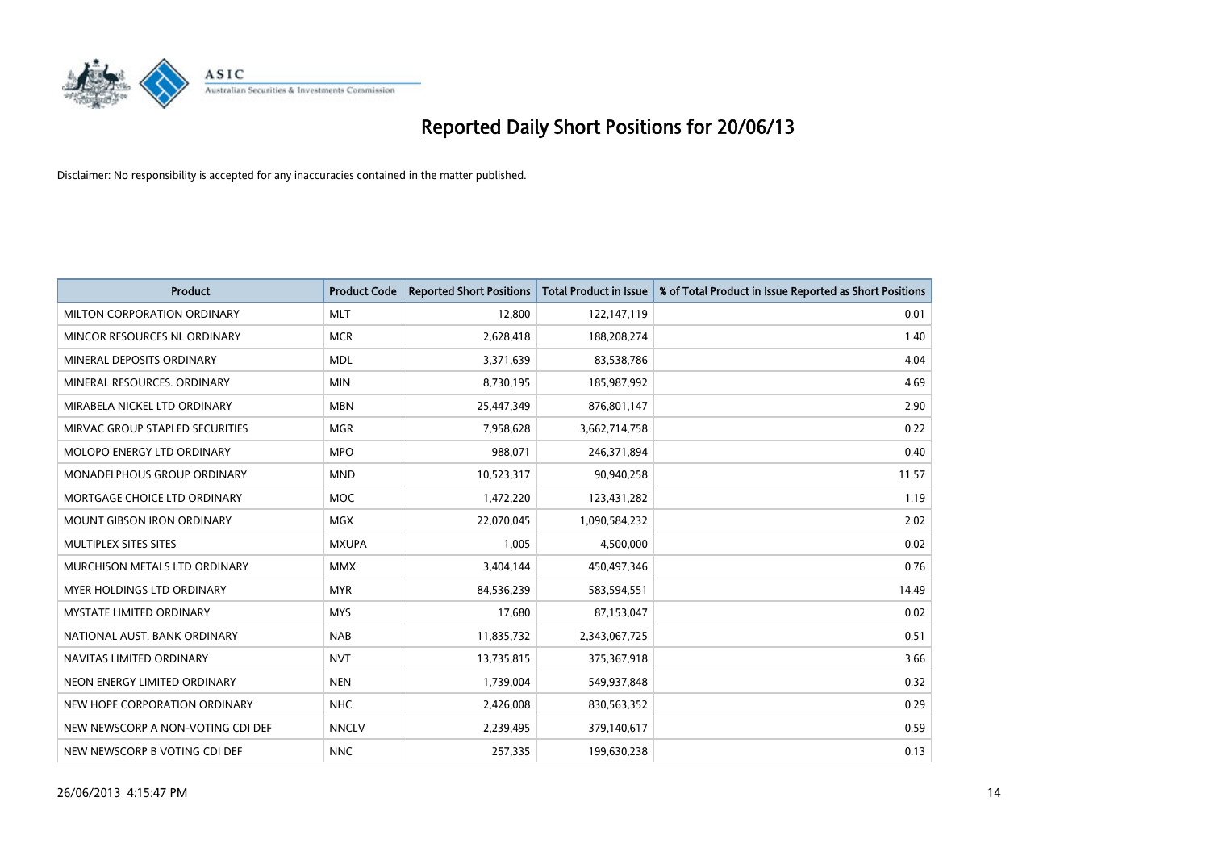

| <b>Product</b>                    | <b>Product Code</b> | <b>Reported Short Positions</b> | <b>Total Product in Issue</b> | % of Total Product in Issue Reported as Short Positions |
|-----------------------------------|---------------------|---------------------------------|-------------------------------|---------------------------------------------------------|
| MILTON CORPORATION ORDINARY       | <b>MLT</b>          | 12,800                          | 122,147,119                   | 0.01                                                    |
| MINCOR RESOURCES NL ORDINARY      | <b>MCR</b>          | 2,628,418                       | 188,208,274                   | 1.40                                                    |
| MINERAL DEPOSITS ORDINARY         | <b>MDL</b>          | 3,371,639                       | 83,538,786                    | 4.04                                                    |
| MINERAL RESOURCES, ORDINARY       | <b>MIN</b>          | 8,730,195                       | 185,987,992                   | 4.69                                                    |
| MIRABELA NICKEL LTD ORDINARY      | <b>MBN</b>          | 25,447,349                      | 876,801,147                   | 2.90                                                    |
| MIRVAC GROUP STAPLED SECURITIES   | <b>MGR</b>          | 7,958,628                       | 3,662,714,758                 | 0.22                                                    |
| MOLOPO ENERGY LTD ORDINARY        | <b>MPO</b>          | 988,071                         | 246,371,894                   | 0.40                                                    |
| MONADELPHOUS GROUP ORDINARY       | <b>MND</b>          | 10,523,317                      | 90,940,258                    | 11.57                                                   |
| MORTGAGE CHOICE LTD ORDINARY      | <b>MOC</b>          | 1,472,220                       | 123,431,282                   | 1.19                                                    |
| <b>MOUNT GIBSON IRON ORDINARY</b> | <b>MGX</b>          | 22,070,045                      | 1,090,584,232                 | 2.02                                                    |
| MULTIPLEX SITES SITES             | <b>MXUPA</b>        | 1,005                           | 4,500,000                     | 0.02                                                    |
| MURCHISON METALS LTD ORDINARY     | <b>MMX</b>          | 3,404,144                       | 450,497,346                   | 0.76                                                    |
| MYER HOLDINGS LTD ORDINARY        | <b>MYR</b>          | 84,536,239                      | 583,594,551                   | 14.49                                                   |
| <b>MYSTATE LIMITED ORDINARY</b>   | <b>MYS</b>          | 17,680                          | 87,153,047                    | 0.02                                                    |
| NATIONAL AUST, BANK ORDINARY      | <b>NAB</b>          | 11,835,732                      | 2,343,067,725                 | 0.51                                                    |
| NAVITAS LIMITED ORDINARY          | <b>NVT</b>          | 13,735,815                      | 375,367,918                   | 3.66                                                    |
| NEON ENERGY LIMITED ORDINARY      | <b>NEN</b>          | 1,739,004                       | 549,937,848                   | 0.32                                                    |
| NEW HOPE CORPORATION ORDINARY     | <b>NHC</b>          | 2,426,008                       | 830,563,352                   | 0.29                                                    |
| NEW NEWSCORP A NON-VOTING CDI DEF | <b>NNCLV</b>        | 2,239,495                       | 379,140,617                   | 0.59                                                    |
| NEW NEWSCORP B VOTING CDI DEF     | <b>NNC</b>          | 257,335                         | 199,630,238                   | 0.13                                                    |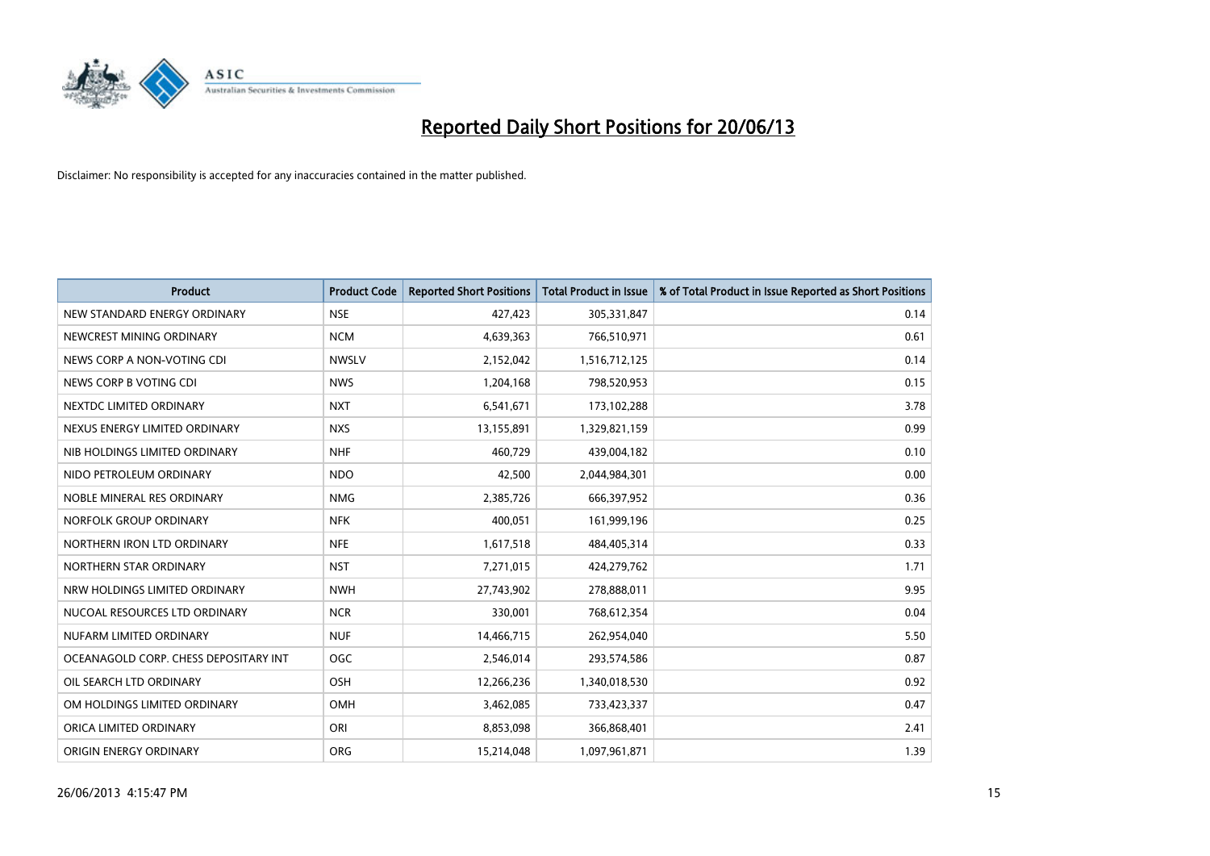

| <b>Product</b>                        | <b>Product Code</b> | <b>Reported Short Positions</b> | <b>Total Product in Issue</b> | % of Total Product in Issue Reported as Short Positions |
|---------------------------------------|---------------------|---------------------------------|-------------------------------|---------------------------------------------------------|
| NEW STANDARD ENERGY ORDINARY          | <b>NSE</b>          | 427,423                         | 305,331,847                   | 0.14                                                    |
| NEWCREST MINING ORDINARY              | <b>NCM</b>          | 4,639,363                       | 766,510,971                   | 0.61                                                    |
| NEWS CORP A NON-VOTING CDI            | <b>NWSLV</b>        | 2,152,042                       | 1,516,712,125                 | 0.14                                                    |
| NEWS CORP B VOTING CDI                | <b>NWS</b>          | 1,204,168                       | 798,520,953                   | 0.15                                                    |
| NEXTDC LIMITED ORDINARY               | <b>NXT</b>          | 6,541,671                       | 173,102,288                   | 3.78                                                    |
| NEXUS ENERGY LIMITED ORDINARY         | <b>NXS</b>          | 13,155,891                      | 1,329,821,159                 | 0.99                                                    |
| NIB HOLDINGS LIMITED ORDINARY         | <b>NHF</b>          | 460.729                         | 439,004,182                   | 0.10                                                    |
| NIDO PETROLEUM ORDINARY               | <b>NDO</b>          | 42,500                          | 2,044,984,301                 | 0.00                                                    |
| NOBLE MINERAL RES ORDINARY            | <b>NMG</b>          | 2,385,726                       | 666,397,952                   | 0.36                                                    |
| NORFOLK GROUP ORDINARY                | <b>NFK</b>          | 400,051                         | 161,999,196                   | 0.25                                                    |
| NORTHERN IRON LTD ORDINARY            | <b>NFE</b>          | 1,617,518                       | 484,405,314                   | 0.33                                                    |
| NORTHERN STAR ORDINARY                | <b>NST</b>          | 7,271,015                       | 424,279,762                   | 1.71                                                    |
| NRW HOLDINGS LIMITED ORDINARY         | <b>NWH</b>          | 27,743,902                      | 278,888,011                   | 9.95                                                    |
| NUCOAL RESOURCES LTD ORDINARY         | <b>NCR</b>          | 330,001                         | 768,612,354                   | 0.04                                                    |
| NUFARM LIMITED ORDINARY               | <b>NUF</b>          | 14,466,715                      | 262,954,040                   | 5.50                                                    |
| OCEANAGOLD CORP. CHESS DEPOSITARY INT | <b>OGC</b>          | 2,546,014                       | 293,574,586                   | 0.87                                                    |
| OIL SEARCH LTD ORDINARY               | OSH                 | 12,266,236                      | 1,340,018,530                 | 0.92                                                    |
| OM HOLDINGS LIMITED ORDINARY          | OMH                 | 3,462,085                       | 733,423,337                   | 0.47                                                    |
| ORICA LIMITED ORDINARY                | ORI                 | 8,853,098                       | 366,868,401                   | 2.41                                                    |
| ORIGIN ENERGY ORDINARY                | <b>ORG</b>          | 15,214,048                      | 1,097,961,871                 | 1.39                                                    |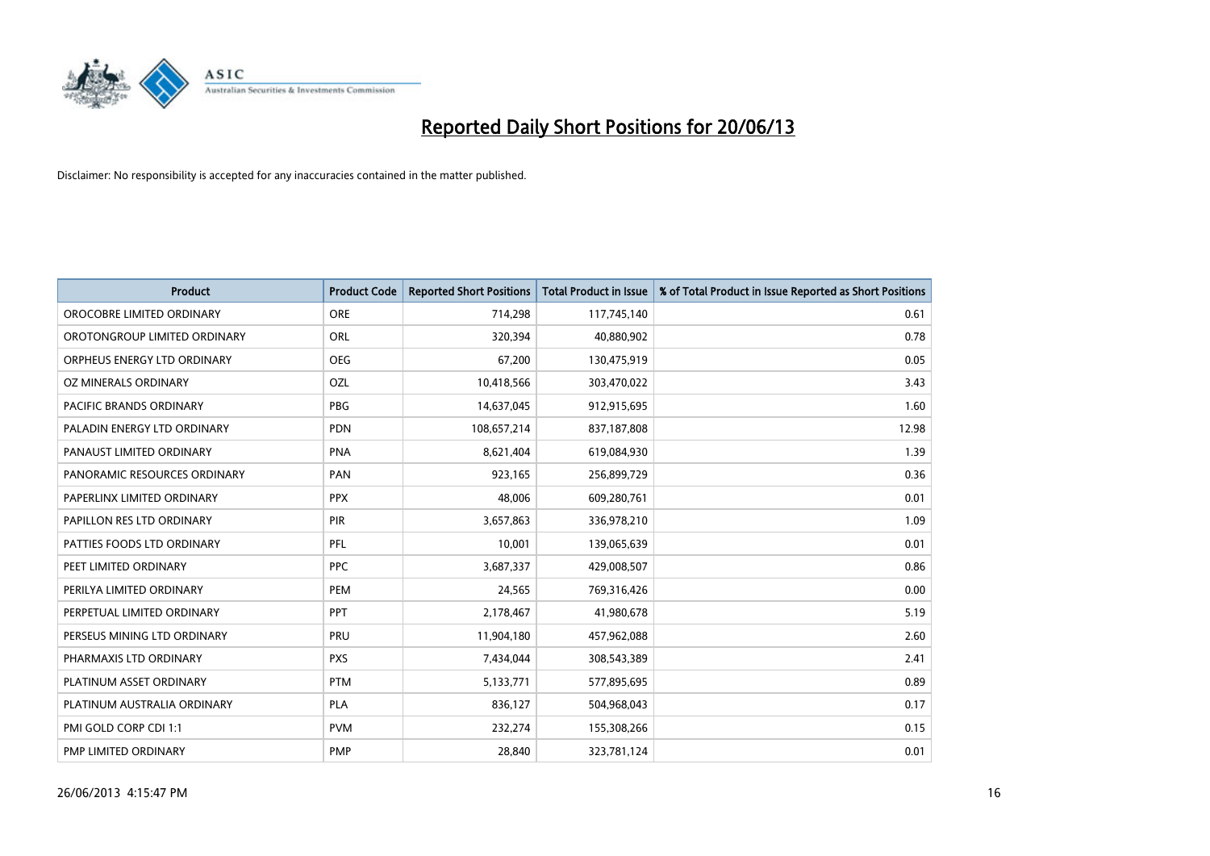

| <b>Product</b>                 | <b>Product Code</b> | <b>Reported Short Positions</b> | <b>Total Product in Issue</b> | % of Total Product in Issue Reported as Short Positions |
|--------------------------------|---------------------|---------------------------------|-------------------------------|---------------------------------------------------------|
| OROCOBRE LIMITED ORDINARY      | <b>ORE</b>          | 714,298                         | 117,745,140                   | 0.61                                                    |
| OROTONGROUP LIMITED ORDINARY   | ORL                 | 320,394                         | 40,880,902                    | 0.78                                                    |
| ORPHEUS ENERGY LTD ORDINARY    | <b>OEG</b>          | 67,200                          | 130,475,919                   | 0.05                                                    |
| OZ MINERALS ORDINARY           | <b>OZL</b>          | 10,418,566                      | 303,470,022                   | 3.43                                                    |
| <b>PACIFIC BRANDS ORDINARY</b> | <b>PBG</b>          | 14,637,045                      | 912,915,695                   | 1.60                                                    |
| PALADIN ENERGY LTD ORDINARY    | <b>PDN</b>          | 108,657,214                     | 837,187,808                   | 12.98                                                   |
| PANAUST LIMITED ORDINARY       | <b>PNA</b>          | 8,621,404                       | 619,084,930                   | 1.39                                                    |
| PANORAMIC RESOURCES ORDINARY   | PAN                 | 923,165                         | 256,899,729                   | 0.36                                                    |
| PAPERLINX LIMITED ORDINARY     | <b>PPX</b>          | 48.006                          | 609,280,761                   | 0.01                                                    |
| PAPILLON RES LTD ORDINARY      | PIR                 | 3,657,863                       | 336,978,210                   | 1.09                                                    |
| PATTIES FOODS LTD ORDINARY     | PFL                 | 10,001                          | 139,065,639                   | 0.01                                                    |
| PEET LIMITED ORDINARY          | <b>PPC</b>          | 3,687,337                       | 429,008,507                   | 0.86                                                    |
| PERILYA LIMITED ORDINARY       | PEM                 | 24,565                          | 769,316,426                   | 0.00                                                    |
| PERPETUAL LIMITED ORDINARY     | <b>PPT</b>          | 2,178,467                       | 41,980,678                    | 5.19                                                    |
| PERSEUS MINING LTD ORDINARY    | PRU                 | 11,904,180                      | 457,962,088                   | 2.60                                                    |
| PHARMAXIS LTD ORDINARY         | <b>PXS</b>          | 7,434,044                       | 308,543,389                   | 2.41                                                    |
| PLATINUM ASSET ORDINARY        | <b>PTM</b>          | 5,133,771                       | 577,895,695                   | 0.89                                                    |
| PLATINUM AUSTRALIA ORDINARY    | <b>PLA</b>          | 836,127                         | 504,968,043                   | 0.17                                                    |
| PMI GOLD CORP CDI 1:1          | <b>PVM</b>          | 232,274                         | 155,308,266                   | 0.15                                                    |
| PMP LIMITED ORDINARY           | <b>PMP</b>          | 28,840                          | 323,781,124                   | 0.01                                                    |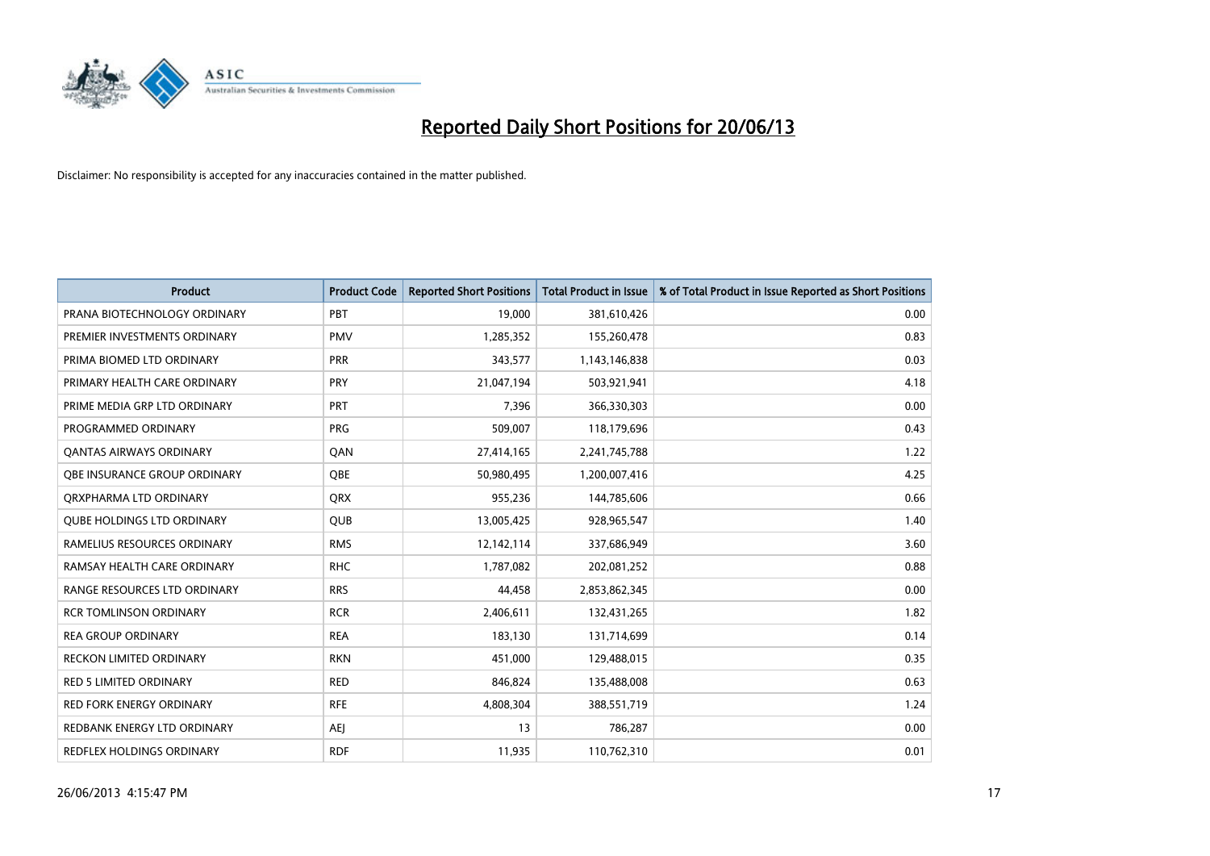

| <b>Product</b>                    | <b>Product Code</b> | <b>Reported Short Positions</b> | <b>Total Product in Issue</b> | % of Total Product in Issue Reported as Short Positions |
|-----------------------------------|---------------------|---------------------------------|-------------------------------|---------------------------------------------------------|
| PRANA BIOTECHNOLOGY ORDINARY      | PBT                 | 19,000                          | 381,610,426                   | 0.00                                                    |
| PREMIER INVESTMENTS ORDINARY      | <b>PMV</b>          | 1,285,352                       | 155,260,478                   | 0.83                                                    |
| PRIMA BIOMED LTD ORDINARY         | <b>PRR</b>          | 343,577                         | 1,143,146,838                 | 0.03                                                    |
| PRIMARY HEALTH CARE ORDINARY      | <b>PRY</b>          | 21,047,194                      | 503,921,941                   | 4.18                                                    |
| PRIME MEDIA GRP LTD ORDINARY      | <b>PRT</b>          | 7,396                           | 366,330,303                   | 0.00                                                    |
| PROGRAMMED ORDINARY               | <b>PRG</b>          | 509,007                         | 118,179,696                   | 0.43                                                    |
| <b>QANTAS AIRWAYS ORDINARY</b>    | QAN                 | 27,414,165                      | 2,241,745,788                 | 1.22                                                    |
| OBE INSURANCE GROUP ORDINARY      | <b>OBE</b>          | 50,980,495                      | 1,200,007,416                 | 4.25                                                    |
| ORXPHARMA LTD ORDINARY            | <b>QRX</b>          | 955,236                         | 144,785,606                   | 0.66                                                    |
| <b>QUBE HOLDINGS LTD ORDINARY</b> | QUB                 | 13,005,425                      | 928,965,547                   | 1.40                                                    |
| RAMELIUS RESOURCES ORDINARY       | <b>RMS</b>          | 12,142,114                      | 337,686,949                   | 3.60                                                    |
| RAMSAY HEALTH CARE ORDINARY       | <b>RHC</b>          | 1,787,082                       | 202,081,252                   | 0.88                                                    |
| RANGE RESOURCES LTD ORDINARY      | <b>RRS</b>          | 44,458                          | 2,853,862,345                 | 0.00                                                    |
| <b>RCR TOMLINSON ORDINARY</b>     | <b>RCR</b>          | 2,406,611                       | 132,431,265                   | 1.82                                                    |
| <b>REA GROUP ORDINARY</b>         | <b>REA</b>          | 183,130                         | 131,714,699                   | 0.14                                                    |
| <b>RECKON LIMITED ORDINARY</b>    | <b>RKN</b>          | 451,000                         | 129,488,015                   | 0.35                                                    |
| RED 5 LIMITED ORDINARY            | <b>RED</b>          | 846,824                         | 135,488,008                   | 0.63                                                    |
| <b>RED FORK ENERGY ORDINARY</b>   | <b>RFE</b>          | 4,808,304                       | 388,551,719                   | 1.24                                                    |
| REDBANK ENERGY LTD ORDINARY       | AEJ                 | 13                              | 786,287                       | 0.00                                                    |
| REDFLEX HOLDINGS ORDINARY         | <b>RDF</b>          | 11,935                          | 110,762,310                   | 0.01                                                    |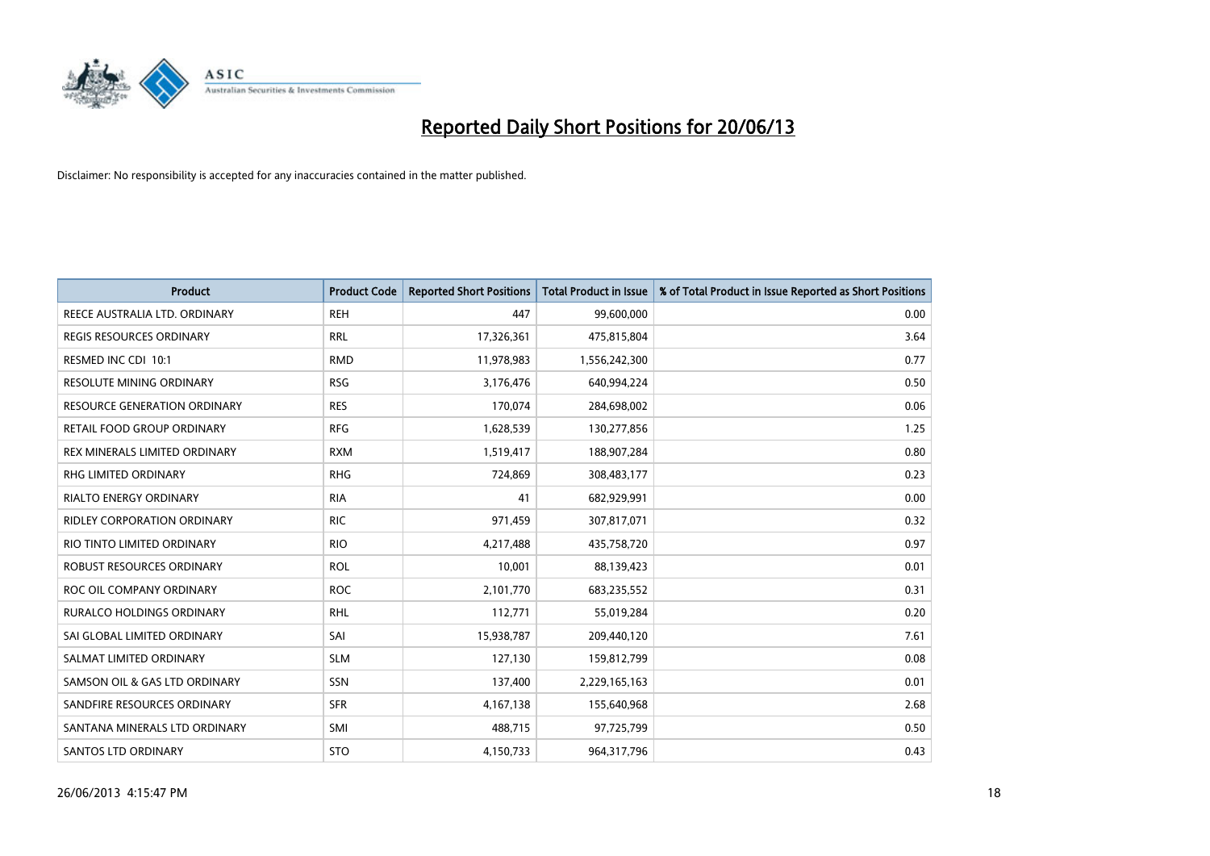

| <b>Product</b>                      | <b>Product Code</b> | <b>Reported Short Positions</b> | Total Product in Issue | % of Total Product in Issue Reported as Short Positions |
|-------------------------------------|---------------------|---------------------------------|------------------------|---------------------------------------------------------|
| REECE AUSTRALIA LTD. ORDINARY       | <b>REH</b>          | 447                             | 99,600,000             | 0.00                                                    |
| <b>REGIS RESOURCES ORDINARY</b>     | <b>RRL</b>          | 17,326,361                      | 475,815,804            | 3.64                                                    |
| RESMED INC CDI 10:1                 | <b>RMD</b>          | 11,978,983                      | 1,556,242,300          | 0.77                                                    |
| <b>RESOLUTE MINING ORDINARY</b>     | <b>RSG</b>          | 3,176,476                       | 640,994,224            | 0.50                                                    |
| <b>RESOURCE GENERATION ORDINARY</b> | <b>RES</b>          | 170,074                         | 284,698,002            | 0.06                                                    |
| RETAIL FOOD GROUP ORDINARY          | <b>RFG</b>          | 1,628,539                       | 130,277,856            | 1.25                                                    |
| REX MINERALS LIMITED ORDINARY       | <b>RXM</b>          | 1,519,417                       | 188,907,284            | 0.80                                                    |
| RHG LIMITED ORDINARY                | <b>RHG</b>          | 724,869                         | 308,483,177            | 0.23                                                    |
| <b>RIALTO ENERGY ORDINARY</b>       | <b>RIA</b>          | 41                              | 682,929,991            | 0.00                                                    |
| RIDLEY CORPORATION ORDINARY         | <b>RIC</b>          | 971,459                         | 307,817,071            | 0.32                                                    |
| RIO TINTO LIMITED ORDINARY          | <b>RIO</b>          | 4,217,488                       | 435,758,720            | 0.97                                                    |
| ROBUST RESOURCES ORDINARY           | <b>ROL</b>          | 10,001                          | 88,139,423             | 0.01                                                    |
| ROC OIL COMPANY ORDINARY            | <b>ROC</b>          | 2,101,770                       | 683,235,552            | 0.31                                                    |
| <b>RURALCO HOLDINGS ORDINARY</b>    | <b>RHL</b>          | 112,771                         | 55,019,284             | 0.20                                                    |
| SAI GLOBAL LIMITED ORDINARY         | SAI                 | 15,938,787                      | 209,440,120            | 7.61                                                    |
| SALMAT LIMITED ORDINARY             | <b>SLM</b>          | 127,130                         | 159,812,799            | 0.08                                                    |
| SAMSON OIL & GAS LTD ORDINARY       | SSN                 | 137,400                         | 2,229,165,163          | 0.01                                                    |
| SANDFIRE RESOURCES ORDINARY         | <b>SFR</b>          | 4,167,138                       | 155,640,968            | 2.68                                                    |
| SANTANA MINERALS LTD ORDINARY       | SMI                 | 488,715                         | 97,725,799             | 0.50                                                    |
| SANTOS LTD ORDINARY                 | <b>STO</b>          | 4,150,733                       | 964,317,796            | 0.43                                                    |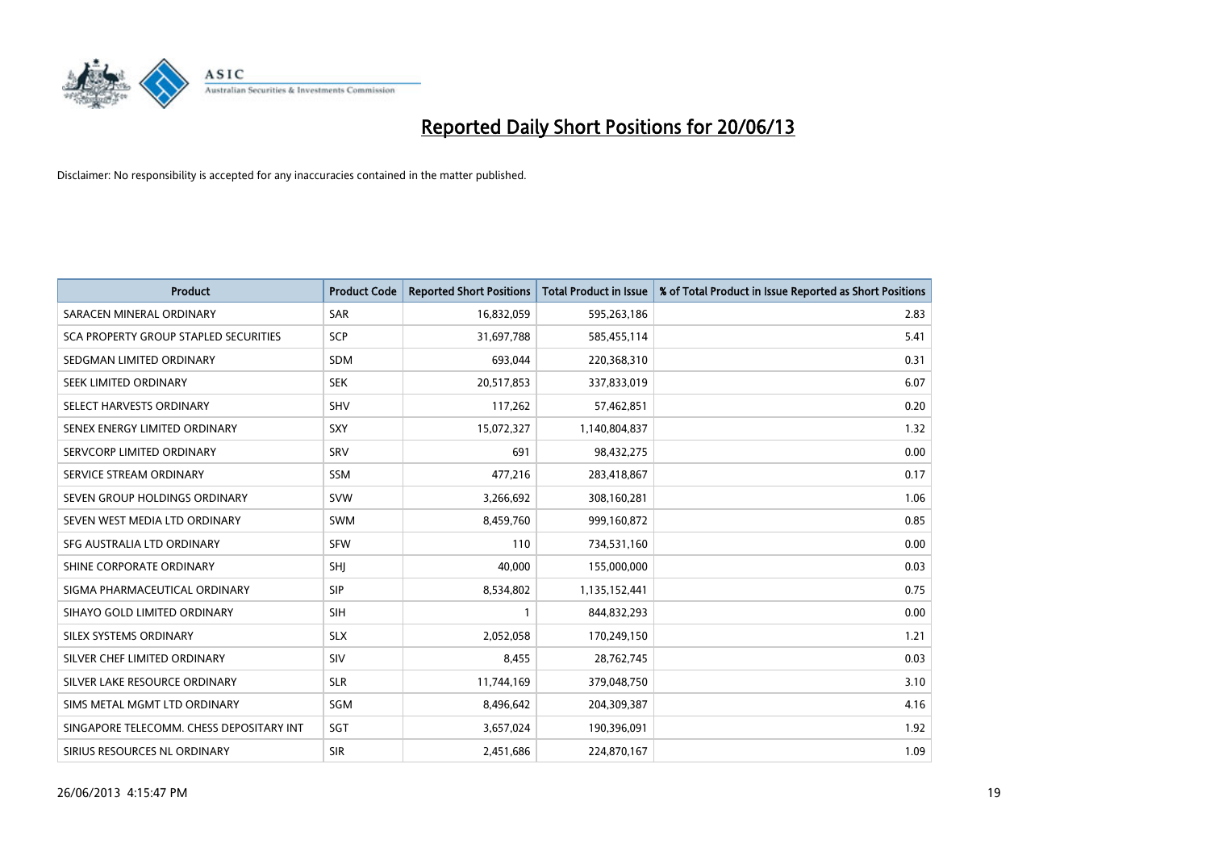

| <b>Product</b>                           | <b>Product Code</b> | <b>Reported Short Positions</b> | <b>Total Product in Issue</b> | % of Total Product in Issue Reported as Short Positions |
|------------------------------------------|---------------------|---------------------------------|-------------------------------|---------------------------------------------------------|
| SARACEN MINERAL ORDINARY                 | <b>SAR</b>          | 16,832,059                      | 595,263,186                   | 2.83                                                    |
| SCA PROPERTY GROUP STAPLED SECURITIES    | <b>SCP</b>          | 31,697,788                      | 585,455,114                   | 5.41                                                    |
| SEDGMAN LIMITED ORDINARY                 | <b>SDM</b>          | 693,044                         | 220,368,310                   | 0.31                                                    |
| SEEK LIMITED ORDINARY                    | <b>SEK</b>          | 20,517,853                      | 337,833,019                   | 6.07                                                    |
| SELECT HARVESTS ORDINARY                 | <b>SHV</b>          | 117,262                         | 57,462,851                    | 0.20                                                    |
| SENEX ENERGY LIMITED ORDINARY            | <b>SXY</b>          | 15,072,327                      | 1,140,804,837                 | 1.32                                                    |
| SERVCORP LIMITED ORDINARY                | SRV                 | 691                             | 98,432,275                    | 0.00                                                    |
| SERVICE STREAM ORDINARY                  | SSM                 | 477,216                         | 283,418,867                   | 0.17                                                    |
| SEVEN GROUP HOLDINGS ORDINARY            | <b>SVW</b>          | 3,266,692                       | 308,160,281                   | 1.06                                                    |
| SEVEN WEST MEDIA LTD ORDINARY            | <b>SWM</b>          | 8,459,760                       | 999,160,872                   | 0.85                                                    |
| SFG AUSTRALIA LTD ORDINARY               | <b>SFW</b>          | 110                             | 734,531,160                   | 0.00                                                    |
| SHINE CORPORATE ORDINARY                 | SHJ                 | 40,000                          | 155,000,000                   | 0.03                                                    |
| SIGMA PHARMACEUTICAL ORDINARY            | <b>SIP</b>          | 8,534,802                       | 1,135,152,441                 | 0.75                                                    |
| SIHAYO GOLD LIMITED ORDINARY             | <b>SIH</b>          | 1                               | 844,832,293                   | 0.00                                                    |
| SILEX SYSTEMS ORDINARY                   | <b>SLX</b>          | 2,052,058                       | 170,249,150                   | 1.21                                                    |
| SILVER CHEF LIMITED ORDINARY             | SIV                 | 8,455                           | 28,762,745                    | 0.03                                                    |
| SILVER LAKE RESOURCE ORDINARY            | <b>SLR</b>          | 11,744,169                      | 379,048,750                   | 3.10                                                    |
| SIMS METAL MGMT LTD ORDINARY             | <b>SGM</b>          | 8,496,642                       | 204,309,387                   | 4.16                                                    |
| SINGAPORE TELECOMM. CHESS DEPOSITARY INT | SGT                 | 3,657,024                       | 190,396,091                   | 1.92                                                    |
| SIRIUS RESOURCES NL ORDINARY             | <b>SIR</b>          | 2,451,686                       | 224,870,167                   | 1.09                                                    |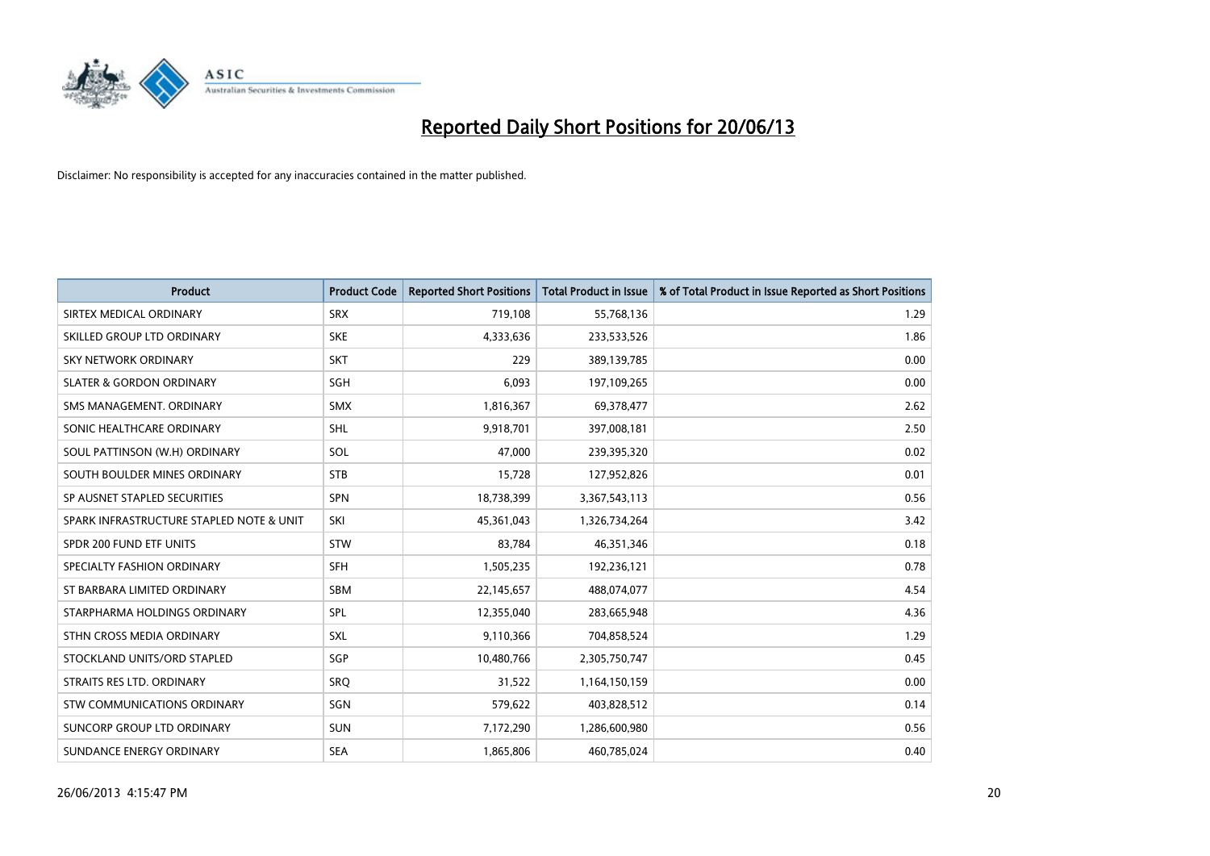

| <b>Product</b>                           | <b>Product Code</b> | <b>Reported Short Positions</b> | <b>Total Product in Issue</b> | % of Total Product in Issue Reported as Short Positions |
|------------------------------------------|---------------------|---------------------------------|-------------------------------|---------------------------------------------------------|
| SIRTEX MEDICAL ORDINARY                  | <b>SRX</b>          | 719,108                         | 55,768,136                    | 1.29                                                    |
| SKILLED GROUP LTD ORDINARY               | <b>SKE</b>          | 4,333,636                       | 233,533,526                   | 1.86                                                    |
| <b>SKY NETWORK ORDINARY</b>              | <b>SKT</b>          | 229                             | 389,139,785                   | 0.00                                                    |
| <b>SLATER &amp; GORDON ORDINARY</b>      | SGH                 | 6,093                           | 197,109,265                   | 0.00                                                    |
| SMS MANAGEMENT, ORDINARY                 | <b>SMX</b>          | 1,816,367                       | 69,378,477                    | 2.62                                                    |
| SONIC HEALTHCARE ORDINARY                | <b>SHL</b>          | 9,918,701                       | 397,008,181                   | 2.50                                                    |
| SOUL PATTINSON (W.H) ORDINARY            | SOL                 | 47,000                          | 239,395,320                   | 0.02                                                    |
| SOUTH BOULDER MINES ORDINARY             | <b>STB</b>          | 15,728                          | 127,952,826                   | 0.01                                                    |
| SP AUSNET STAPLED SECURITIES             | <b>SPN</b>          | 18,738,399                      | 3,367,543,113                 | 0.56                                                    |
| SPARK INFRASTRUCTURE STAPLED NOTE & UNIT | SKI                 | 45,361,043                      | 1,326,734,264                 | 3.42                                                    |
| SPDR 200 FUND ETF UNITS                  | <b>STW</b>          | 83,784                          | 46,351,346                    | 0.18                                                    |
| SPECIALTY FASHION ORDINARY               | <b>SFH</b>          | 1,505,235                       | 192,236,121                   | 0.78                                                    |
| ST BARBARA LIMITED ORDINARY              | <b>SBM</b>          | 22,145,657                      | 488,074,077                   | 4.54                                                    |
| STARPHARMA HOLDINGS ORDINARY             | <b>SPL</b>          | 12,355,040                      | 283,665,948                   | 4.36                                                    |
| STHN CROSS MEDIA ORDINARY                | SXL                 | 9,110,366                       | 704,858,524                   | 1.29                                                    |
| STOCKLAND UNITS/ORD STAPLED              | SGP                 | 10,480,766                      | 2,305,750,747                 | 0.45                                                    |
| STRAITS RES LTD. ORDINARY                | SRQ                 | 31,522                          | 1,164,150,159                 | 0.00                                                    |
| STW COMMUNICATIONS ORDINARY              | <b>SGN</b>          | 579,622                         | 403,828,512                   | 0.14                                                    |
| SUNCORP GROUP LTD ORDINARY               | <b>SUN</b>          | 7,172,290                       | 1,286,600,980                 | 0.56                                                    |
| SUNDANCE ENERGY ORDINARY                 | <b>SEA</b>          | 1,865,806                       | 460,785,024                   | 0.40                                                    |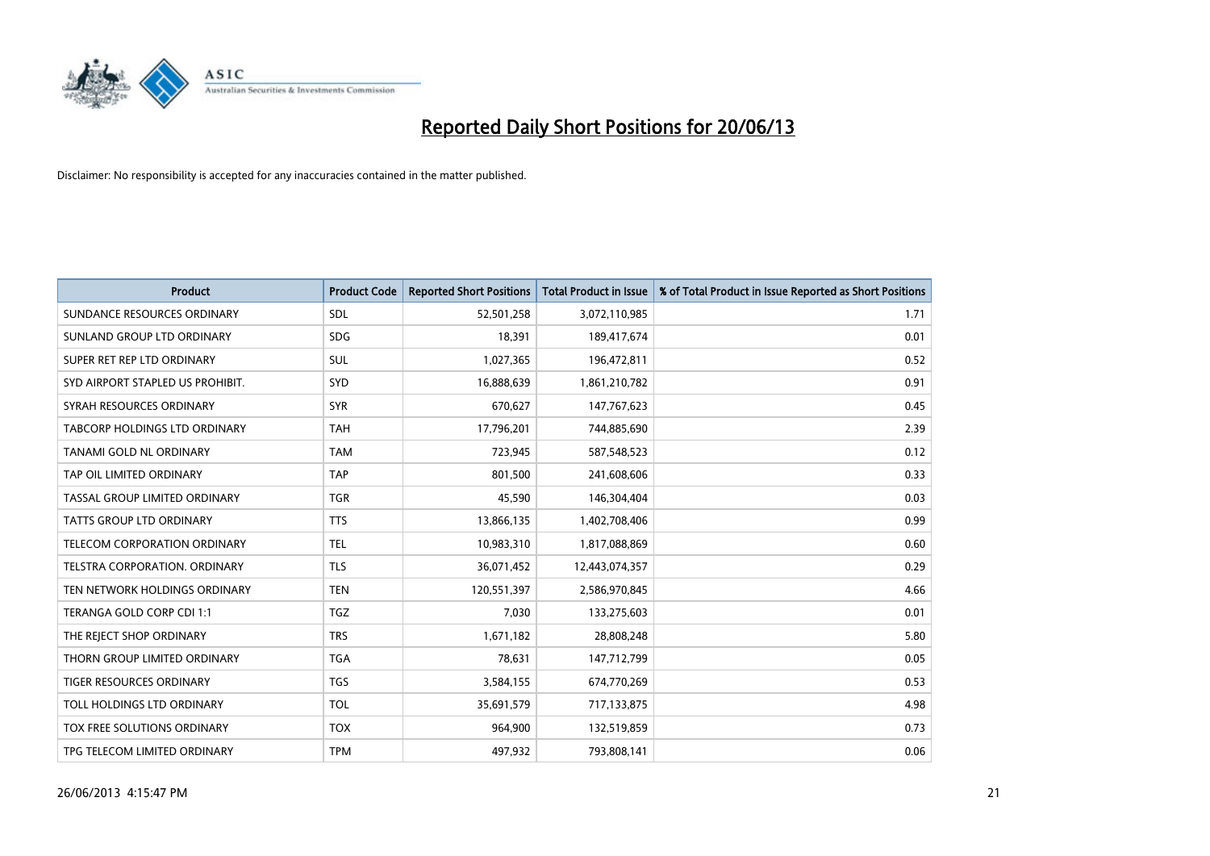

| <b>Product</b>                   | <b>Product Code</b> | <b>Reported Short Positions</b> | <b>Total Product in Issue</b> | % of Total Product in Issue Reported as Short Positions |
|----------------------------------|---------------------|---------------------------------|-------------------------------|---------------------------------------------------------|
| SUNDANCE RESOURCES ORDINARY      | <b>SDL</b>          | 52,501,258                      | 3,072,110,985                 | 1.71                                                    |
| SUNLAND GROUP LTD ORDINARY       | <b>SDG</b>          | 18,391                          | 189,417,674                   | 0.01                                                    |
| SUPER RET REP LTD ORDINARY       | SUL                 | 1,027,365                       | 196,472,811                   | 0.52                                                    |
| SYD AIRPORT STAPLED US PROHIBIT. | SYD                 | 16,888,639                      | 1,861,210,782                 | 0.91                                                    |
| SYRAH RESOURCES ORDINARY         | <b>SYR</b>          | 670,627                         | 147,767,623                   | 0.45                                                    |
| TABCORP HOLDINGS LTD ORDINARY    | <b>TAH</b>          | 17,796,201                      | 744,885,690                   | 2.39                                                    |
| TANAMI GOLD NL ORDINARY          | <b>TAM</b>          | 723,945                         | 587,548,523                   | 0.12                                                    |
| TAP OIL LIMITED ORDINARY         | <b>TAP</b>          | 801,500                         | 241,608,606                   | 0.33                                                    |
| TASSAL GROUP LIMITED ORDINARY    | <b>TGR</b>          | 45,590                          | 146,304,404                   | 0.03                                                    |
| TATTS GROUP LTD ORDINARY         | <b>TTS</b>          | 13,866,135                      | 1,402,708,406                 | 0.99                                                    |
| TELECOM CORPORATION ORDINARY     | <b>TEL</b>          | 10,983,310                      | 1,817,088,869                 | 0.60                                                    |
| TELSTRA CORPORATION. ORDINARY    | <b>TLS</b>          | 36,071,452                      | 12,443,074,357                | 0.29                                                    |
| TEN NETWORK HOLDINGS ORDINARY    | <b>TEN</b>          | 120,551,397                     | 2,586,970,845                 | 4.66                                                    |
| TERANGA GOLD CORP CDI 1:1        | <b>TGZ</b>          | 7,030                           | 133,275,603                   | 0.01                                                    |
| THE REJECT SHOP ORDINARY         | <b>TRS</b>          | 1,671,182                       | 28,808,248                    | 5.80                                                    |
| THORN GROUP LIMITED ORDINARY     | <b>TGA</b>          | 78,631                          | 147,712,799                   | 0.05                                                    |
| <b>TIGER RESOURCES ORDINARY</b>  | <b>TGS</b>          | 3,584,155                       | 674,770,269                   | 0.53                                                    |
| TOLL HOLDINGS LTD ORDINARY       | <b>TOL</b>          | 35,691,579                      | 717,133,875                   | 4.98                                                    |
| TOX FREE SOLUTIONS ORDINARY      | <b>TOX</b>          | 964,900                         | 132,519,859                   | 0.73                                                    |
| TPG TELECOM LIMITED ORDINARY     | <b>TPM</b>          | 497,932                         | 793,808,141                   | 0.06                                                    |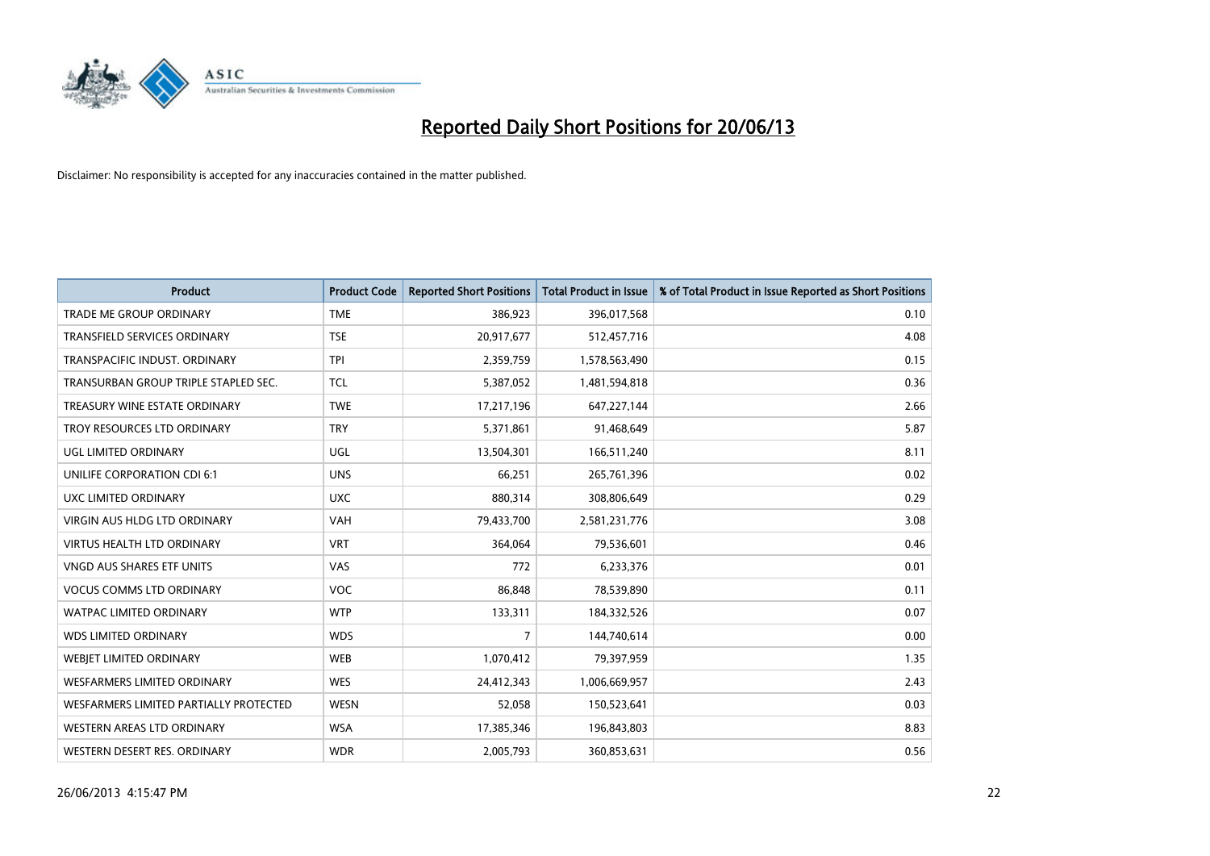

| <b>Product</b>                         | <b>Product Code</b> | <b>Reported Short Positions</b> | <b>Total Product in Issue</b> | % of Total Product in Issue Reported as Short Positions |
|----------------------------------------|---------------------|---------------------------------|-------------------------------|---------------------------------------------------------|
| <b>TRADE ME GROUP ORDINARY</b>         | <b>TME</b>          | 386,923                         | 396,017,568                   | 0.10                                                    |
| <b>TRANSFIELD SERVICES ORDINARY</b>    | <b>TSE</b>          | 20,917,677                      | 512,457,716                   | 4.08                                                    |
| TRANSPACIFIC INDUST, ORDINARY          | <b>TPI</b>          | 2,359,759                       | 1,578,563,490                 | 0.15                                                    |
| TRANSURBAN GROUP TRIPLE STAPLED SEC.   | <b>TCL</b>          | 5,387,052                       | 1,481,594,818                 | 0.36                                                    |
| TREASURY WINE ESTATE ORDINARY          | <b>TWE</b>          | 17,217,196                      | 647,227,144                   | 2.66                                                    |
| TROY RESOURCES LTD ORDINARY            | <b>TRY</b>          | 5,371,861                       | 91,468,649                    | 5.87                                                    |
| UGL LIMITED ORDINARY                   | UGL                 | 13,504,301                      | 166,511,240                   | 8.11                                                    |
| UNILIFE CORPORATION CDI 6:1            | <b>UNS</b>          | 66,251                          | 265,761,396                   | 0.02                                                    |
| <b>UXC LIMITED ORDINARY</b>            | <b>UXC</b>          | 880,314                         | 308,806,649                   | 0.29                                                    |
| VIRGIN AUS HLDG LTD ORDINARY           | <b>VAH</b>          | 79,433,700                      | 2,581,231,776                 | 3.08                                                    |
| <b>VIRTUS HEALTH LTD ORDINARY</b>      | <b>VRT</b>          | 364,064                         | 79,536,601                    | 0.46                                                    |
| <b>VNGD AUS SHARES ETF UNITS</b>       | <b>VAS</b>          | 772                             | 6,233,376                     | 0.01                                                    |
| <b>VOCUS COMMS LTD ORDINARY</b>        | <b>VOC</b>          | 86,848                          | 78,539,890                    | 0.11                                                    |
| <b>WATPAC LIMITED ORDINARY</b>         | <b>WTP</b>          | 133,311                         | 184,332,526                   | 0.07                                                    |
| <b>WDS LIMITED ORDINARY</b>            | <b>WDS</b>          | $\overline{7}$                  | 144,740,614                   | 0.00                                                    |
| WEBJET LIMITED ORDINARY                | <b>WEB</b>          | 1,070,412                       | 79,397,959                    | 1.35                                                    |
| <b>WESFARMERS LIMITED ORDINARY</b>     | <b>WES</b>          | 24,412,343                      | 1,006,669,957                 | 2.43                                                    |
| WESFARMERS LIMITED PARTIALLY PROTECTED | <b>WESN</b>         | 52,058                          | 150,523,641                   | 0.03                                                    |
| WESTERN AREAS LTD ORDINARY             | <b>WSA</b>          | 17,385,346                      | 196,843,803                   | 8.83                                                    |
| WESTERN DESERT RES. ORDINARY           | <b>WDR</b>          | 2,005,793                       | 360,853,631                   | 0.56                                                    |